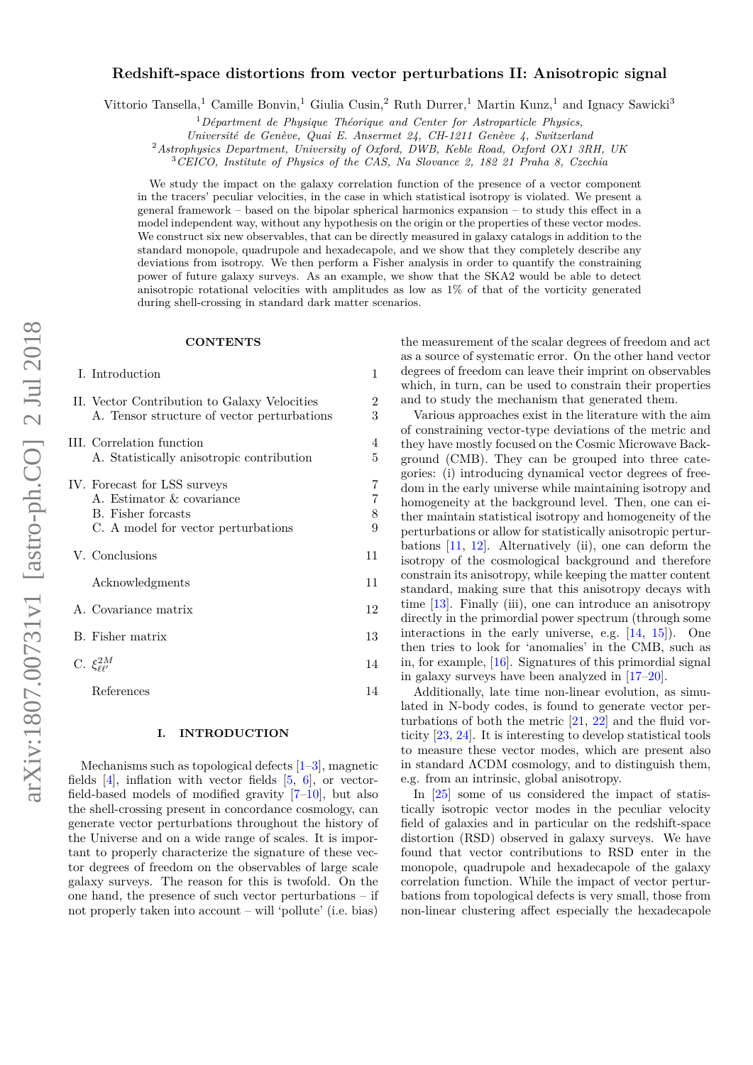# arXiv:1807.00731v1 [astro-ph.CO] 2 Jul 2018 arXiv:1807.00731v1 [astro-ph.CO] 2 Jul 2018

# **Redshift-space distortions from vector perturbations II: Anisotropic signal**

Vittorio Tansella,<sup>1</sup> Camille Bonvin,<sup>1</sup> Giulia Cusin,<sup>2</sup> Ruth Durrer,<sup>1</sup> Martin Kunz,<sup>1</sup> and Ignacy Sawicki<sup>3</sup>

<sup>1</sup>*Départment de Physique Théorique and Center for Astroparticle Physics,*

*Université de Genève, Quai E. Ansermet 24, CH-1211 Genève 4, Switzerland*

<sup>2</sup>*Astrophysics Department, University of Oxford, DWB, Keble Road, Oxford OX1 3RH, UK*

<sup>3</sup>*CEICO, Institute of Physics of the CAS, Na Slovance 2, 182 21 Praha 8, Czechia*

We study the impact on the galaxy correlation function of the presence of a vector component in the tracers' peculiar velocities, in the case in which statistical isotropy is violated. We present a general framework – based on the bipolar spherical harmonics expansion – to study this effect in a model independent way, without any hypothesis on the origin or the properties of these vector modes. We construct six new observables, that can be directly measured in galaxy catalogs in addition to the standard monopole, quadrupole and hexadecapole, and we show that they completely describe any deviations from isotropy. We then perform a Fisher analysis in order to quantify the constraining power of future galaxy surveys. As an example, we show that the SKA2 would be able to detect anisotropic rotational velocities with amplitudes as low as 1% of that of the vorticity generated during shell-crossing in standard dark matter scenarios.

# **CONTENTS**

| I. Introduction                                                                                                        | 1                   |
|------------------------------------------------------------------------------------------------------------------------|---------------------|
| II. Vector Contribution to Galaxy Velocities<br>A. Tensor structure of vector perturbations                            | $\overline{2}$<br>3 |
| III. Correlation function<br>A. Statistically anisotropic contribution                                                 | $\overline{4}$<br>5 |
| IV. Forecast for LSS surveys<br>A. Estimator & covariance<br>B. Fisher forcasts<br>C. A model for vector perturbations | 7<br>7<br>8<br>9    |
| V. Conclusions                                                                                                         | 11                  |
| Acknowledgments                                                                                                        | 11                  |
| A. Covariance matrix                                                                                                   | 12                  |
| B. Fisher matrix                                                                                                       | 13                  |
| C. $\xi_{\ell\ell'}^{2M}$                                                                                              | 14                  |
| References                                                                                                             | 14                  |

# <span id="page-0-0"></span>**I. INTRODUCTION**

Mechanisms such as topological defects  $[1-3]$  $[1-3]$ , magnetic fields  $[4]$ , inflation with vector fields  $[5, 6]$  $[5, 6]$  $[5, 6]$ , or vectorfield-based models of modified gravity  $[7-10]$  $[7-10]$ , but also the shell-crossing present in concordance cosmology, can generate vector perturbations throughout the history of the Universe and on a wide range of scales. It is important to properly characterize the signature of these vector degrees of freedom on the observables of large scale galaxy surveys. The reason for this is twofold. On the one hand, the presence of such vector perturbations – if not properly taken into account – will 'pollute' (i.e. bias)

the measurement of the scalar degrees of freedom and act as a source of systematic error. On the other hand vector degrees of freedom can leave their imprint on observables which, in turn, can be used to constrain their properties and to study the mechanism that generated them.

Various approaches exist in the literature with the aim of constraining vector-type deviations of the metric and they have mostly focused on the Cosmic Microwave Background (CMB). They can be grouped into three categories: (i) introducing dynamical vector degrees of freedom in the early universe while maintaining isotropy and homogeneity at the background level. Then, one can either maintain statistical isotropy and homogeneity of the perturbations or allow for statistically anisotropic perturbations [\[11,](#page-13-9) [12\]](#page-13-10). Alternatively (ii), one can deform the isotropy of the cosmological background and therefore constrain its anisotropy, while keeping the matter content standard, making sure that this anisotropy decays with time [\[13\]](#page-13-11). Finally (iii), one can introduce an anisotropy directly in the primordial power spectrum (through some interactions in the early universe, e.g. [\[14,](#page-13-12) [15\]](#page-13-13)). One then tries to look for 'anomalies' in the CMB, such as in, for example, [\[16\]](#page-14-0). Signatures of this primordial signal in galaxy surveys have been analyzed in [\[17–](#page-14-1)[20\]](#page-14-2).

Additionally, late time non-linear evolution, as simulated in N-body codes, is found to generate vector perturbations of both the metric [\[21,](#page-14-3) [22\]](#page-14-4) and the fluid vorticity [\[23,](#page-14-5) [24\]](#page-14-6). It is interesting to develop statistical tools to measure these vector modes, which are present also in standard ΛCDM cosmology, and to distinguish them, e.g. from an intrinsic, global anisotropy.

In [\[25\]](#page-14-7) some of us considered the impact of statistically isotropic vector modes in the peculiar velocity field of galaxies and in particular on the redshift-space distortion (RSD) observed in galaxy surveys. We have found that vector contributions to RSD enter in the monopole, quadrupole and hexadecapole of the galaxy correlation function. While the impact of vector perturbations from topological defects is very small, those from non-linear clustering affect especially the hexadecapole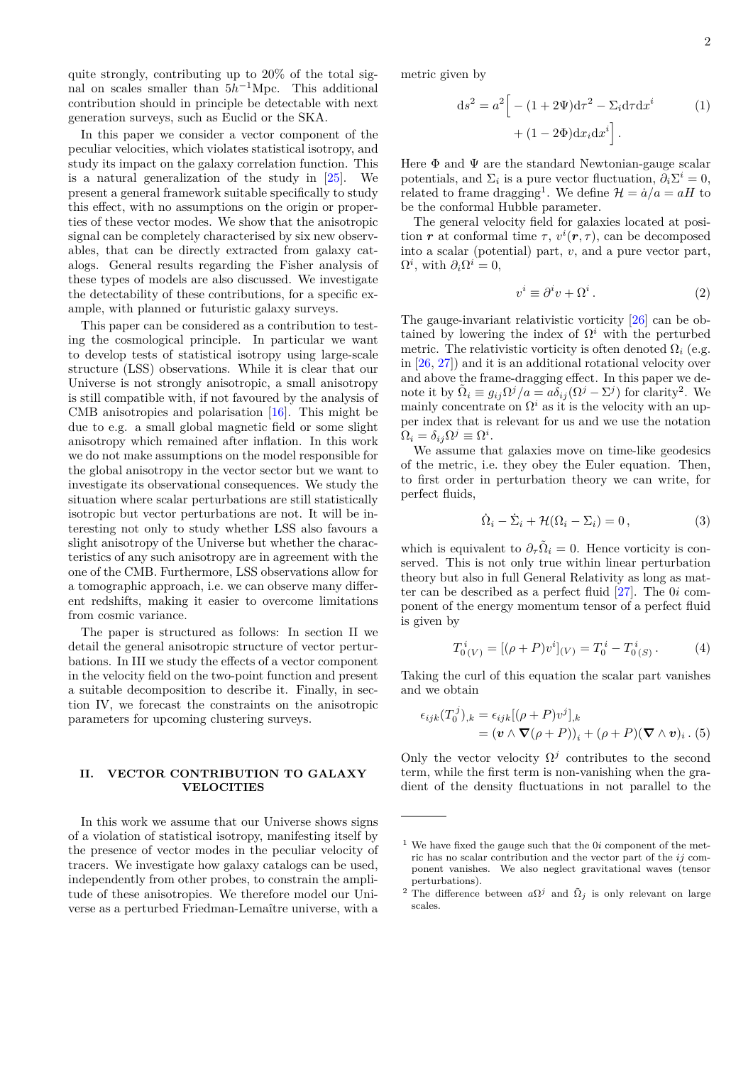quite strongly, contributing up to 20% of the total signal on scales smaller than  $5h^{-1}\text{Mpc}$ . This additional contribution should in principle be detectable with next generation surveys, such as Euclid or the SKA.

In this paper we consider a vector component of the peculiar velocities, which violates statistical isotropy, and study its impact on the galaxy correlation function. This is a natural generalization of the study in [\[25\]](#page-14-7). We present a general framework suitable specifically to study this effect, with no assumptions on the origin or properties of these vector modes. We show that the anisotropic signal can be completely characterised by six new observables, that can be directly extracted from galaxy catalogs. General results regarding the Fisher analysis of these types of models are also discussed. We investigate the detectability of these contributions, for a specific example, with planned or futuristic galaxy surveys.

This paper can be considered as a contribution to testing the cosmological principle. In particular we want to develop tests of statistical isotropy using large-scale structure (LSS) observations. While it is clear that our Universe is not strongly anisotropic, a small anisotropy is still compatible with, if not favoured by the analysis of CMB anisotropies and polarisation [\[16\]](#page-14-0). This might be due to e.g. a small global magnetic field or some slight anisotropy which remained after inflation. In this work we do not make assumptions on the model responsible for the global anisotropy in the vector sector but we want to investigate its observational consequences. We study the situation where scalar perturbations are still statistically isotropic but vector perturbations are not. It will be interesting not only to study whether LSS also favours a slight anisotropy of the Universe but whether the characteristics of any such anisotropy are in agreement with the one of the CMB. Furthermore, LSS observations allow for a tomographic approach, i.e. we can observe many different redshifts, making it easier to overcome limitations from cosmic variance.

The paper is structured as follows: In section [II](#page-1-0) we detail the general anisotropic structure of vector perturbations. In [III](#page-3-0) we study the effects of a vector component in the velocity field on the two-point function and present a suitable decomposition to describe it. Finally, in section [IV,](#page-6-0) we forecast the constraints on the anisotropic parameters for upcoming clustering surveys.

# <span id="page-1-0"></span>**II. VECTOR CONTRIBUTION TO GALAXY VELOCITIES**

In this work we assume that our Universe shows signs of a violation of statistical isotropy, manifesting itself by the presence of vector modes in the peculiar velocity of tracers. We investigate how galaxy catalogs can be used, independently from other probes, to constrain the amplitude of these anisotropies. We therefore model our Universe as a perturbed Friedman-Lemaître universe, with a

metric given by

$$
ds^{2} = a^{2} \left[ -(1+2\Psi)d\tau^{2} - \Sigma_{i}d\tau dx^{i} + (1-2\Phi)dx_{i}dx^{i} \right].
$$
 (1)

Here  $\Phi$  and  $\Psi$  are the standard Newtonian-gauge scalar potentials, and  $\Sigma_i$  is a pure vector fluctuation,  $\partial_i \Sigma^i = 0$ , related to frame dragging<sup>[1](#page-1-1)</sup>. We define  $\mathcal{H} = \dot{a}/a = aH$  to be the conformal Hubble parameter.

The general velocity field for galaxies located at position *r* at conformal time  $\tau$ ,  $v^i(\mathbf{r}, \tau)$ , can be decomposed into a scalar (potential) part, *v*, and a pure vector part,  $\Omega^i$ , with  $\partial_i \Omega^i = 0$ ,

<span id="page-1-4"></span>
$$
v^i \equiv \partial^i v + \Omega^i. \tag{2}
$$

The gauge-invariant relativistic vorticity [\[26\]](#page-14-8) can be obtained by lowering the index of  $\Omega^i$  with the perturbed metric. The relativistic vorticity is often denoted  $\Omega_i$  (e.g. in [\[26,](#page-14-8) [27\]](#page-14-9)) and it is an additional rotational velocity over and above the frame-dragging effect. In this paper we denote it by  $\tilde{\Omega}_i \equiv g_{ij} \Omega^j / a = a \delta_{ij} (\Omega^j - \Sigma^j)$  for clarity<sup>[2](#page-1-2)</sup>. We mainly concentrate on  $\Omega^i$  as it is the velocity with an upper index that is relevant for us and we use the notation  $\Omega_i = \delta_{ij} \Omega^j \equiv \Omega^i.$ 

We assume that galaxies move on time-like geodesics of the metric, i.e. they obey the Euler equation. Then, to first order in perturbation theory we can write, for perfect fluids,

$$
\dot{\Omega}_i - \dot{\Sigma}_i + \mathcal{H}(\Omega_i - \Sigma_i) = 0, \qquad (3)
$$

which is equivalent to  $\partial_{\tau} \tilde{\Omega}_i = 0$ . Hence vorticity is conserved. This is not only true within linear perturbation theory but also in full General Relativity as long as matter can be described as a perfect fluid [\[27\]](#page-14-9). The 0*i* component of the energy momentum tensor of a perfect fluid is given by

$$
T_{0\,(V)}^{\,i} = [(\rho + P)v^{i}]_{(V)} = T_{0}^{\,i} - T_{0\,(S)}^{\,i} \,. \tag{4}
$$

Taking the curl of this equation the scalar part vanishes and we obtain

<span id="page-1-3"></span>
$$
\epsilon_{ijk}(T_0^j)_{,k} = \epsilon_{ijk} [(\rho + P)v^j]_{,k}
$$
  
=  $(\mathbf{v} \wedge \nabla(\rho + P))_i + (\rho + P)(\nabla \wedge \mathbf{v})_i$ . (5)

Only the vector velocity  $\Omega^j$  contributes to the second term, while the first term is non-vanishing when the gradient of the density fluctuations in not parallel to the

<span id="page-1-1"></span><sup>1</sup> We have fixed the gauge such that the 0*i* component of the metric has no scalar contribution and the vector part of the *ij* component vanishes. We also neglect gravitational waves (tensor

<span id="page-1-2"></span> $^{2}$  The difference between *a*Ω<sup>*j*</sup> and  $\tilde{\Omega}_j$  is only relevant on large scales.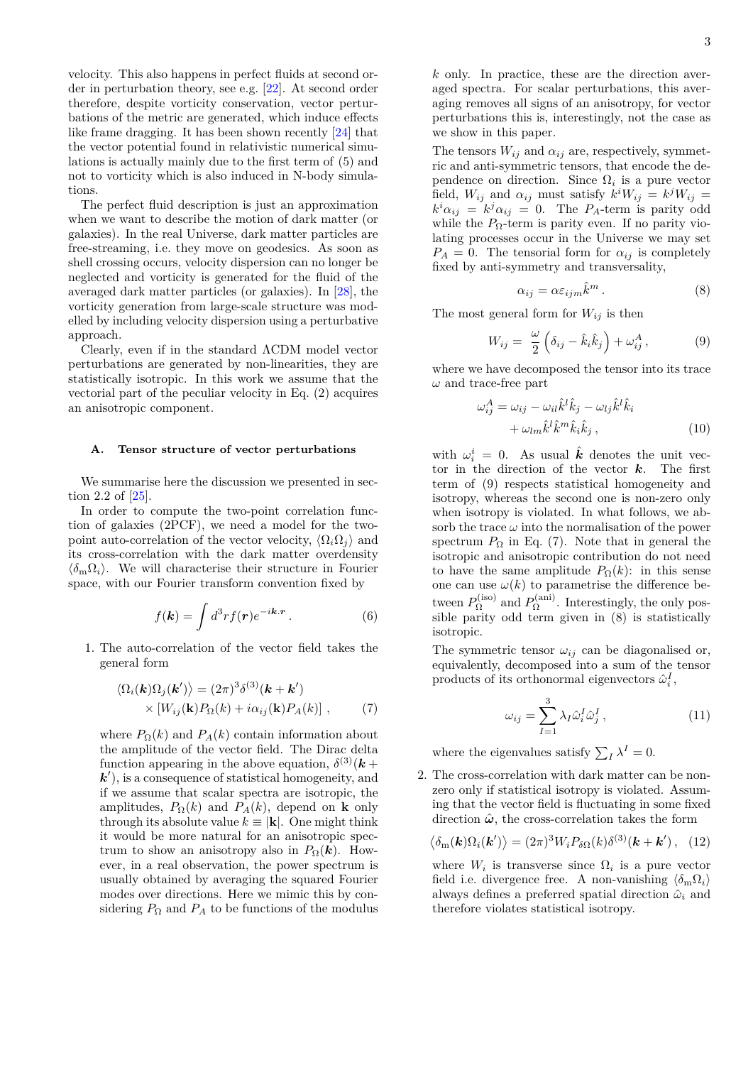velocity. This also happens in perfect fluids at second order in perturbation theory, see e.g. [\[22\]](#page-14-4). At second order therefore, despite vorticity conservation, vector perturbations of the metric are generated, which induce effects like frame dragging. It has been shown recently [\[24\]](#page-14-6) that the vector potential found in relativistic numerical simulations is actually mainly due to the first term of [\(5\)](#page-1-3) and not to vorticity which is also induced in N-body simulations.

The perfect fluid description is just an approximation when we want to describe the motion of dark matter (or galaxies). In the real Universe, dark matter particles are free-streaming, i.e. they move on geodesics. As soon as shell crossing occurs, velocity dispersion can no longer be neglected and vorticity is generated for the fluid of the averaged dark matter particles (or galaxies). In [\[28\]](#page-14-10), the vorticity generation from large-scale structure was modelled by including velocity dispersion using a perturbative approach.

Clearly, even if in the standard ΛCDM model vector perturbations are generated by non-linearities, they are statistically isotropic. In this work we assume that the vectorial part of the peculiar velocity in Eq. [\(2\)](#page-1-4) acquires an anisotropic component.

### <span id="page-2-0"></span>**A. Tensor structure of vector perturbations**

We summarise here the discussion we presented in section 2.2 of [\[25\]](#page-14-7).

In order to compute the two-point correlation function of galaxies (2PCF), we need a model for the twopoint auto-correlation of the vector velocity,  $\langle \Omega_i \Omega_j \rangle$  and its cross-correlation with the dark matter overdensity  $\langle \delta_m \Omega_i \rangle$ . We will characterise their structure in Fourier space, with our Fourier transform convention fixed by

$$
f(\mathbf{k}) = \int d^3r f(\mathbf{r}) e^{-i\mathbf{k} \cdot \mathbf{r}} \,. \tag{6}
$$

1. The auto-correlation of the vector field takes the general form

$$
\langle \Omega_i(\mathbf{k}) \Omega_j(\mathbf{k'}) \rangle = (2\pi)^3 \delta^{(3)}(\mathbf{k} + \mathbf{k'})
$$
  
 
$$
\times [W_{ij}(\mathbf{k}) P_{\Omega}(k) + i \alpha_{ij}(\mathbf{k}) P_A(k)], \qquad (7)
$$

where  $P_{\Omega}(k)$  and  $P_{A}(k)$  contain information about the amplitude of the vector field. The Dirac delta function appearing in the above equation,  $\delta^{(3)}(\mathbf{k} + \mathbf{k})$  $k'$ ), is a consequence of statistical homogeneity, and if we assume that scalar spectra are isotropic, the amplitudes,  $P_{\Omega}(k)$  and  $P_{A}(k)$ , depend on **k** only through its absolute value  $k \equiv |\mathbf{k}|$ . One might think it would be more natural for an anisotropic spectrum to show an anisotropy also in  $P_{\Omega}(\mathbf{k})$ . However, in a real observation, the power spectrum is usually obtained by averaging the squared Fourier modes over directions. Here we mimic this by considering  $P_{\Omega}$  and  $P_A$  to be functions of the modulus *k* only. In practice, these are the direction averaged spectra. For scalar perturbations, this averaging removes all signs of an anisotropy, for vector perturbations this is, interestingly, not the case as we show in this paper.

The tensors  $W_{ij}$  and  $\alpha_{ij}$  are, respectively, symmetric and anti-symmetric tensors, that encode the dependence on direction. Since  $\Omega_i$  is a pure vector field,  $W_{ij}$  and  $\alpha_{ij}$  must satisfy  $k^i W_{ij} = k^j W_{ij}$  $k^i \alpha_{ij} = k^j \alpha_{ij} = 0$ . The *P<sub>A</sub>*-term is parity odd while the  $P_{\Omega}$ -term is parity even. If no parity violating processes occur in the Universe we may set  $P_A = 0$ . The tensorial form for  $\alpha_{ij}$  is completely fixed by anti-symmetry and transversality,

<span id="page-2-3"></span><span id="page-2-1"></span>
$$
\alpha_{ij} = \alpha \varepsilon_{ijm} \hat{k}^m \,. \tag{8}
$$

The most general form for  $W_{ij}$  is then

$$
W_{ij} = \frac{\omega}{2} \left( \delta_{ij} - \hat{k}_i \hat{k}_j \right) + \omega_{ij}^A, \qquad (9)
$$

where we have decomposed the tensor into its trace *ω* and trace-free part

<span id="page-2-4"></span>
$$
\omega_{ij}^A = \omega_{ij} - \omega_{il}\hat{k}^l\hat{k}_j - \omega_{lj}\hat{k}^l\hat{k}_i
$$

$$
+ \omega_{lm}\hat{k}^l\hat{k}^m\hat{k}_i\hat{k}_j , \qquad (10)
$$

with  $\omega_i^i = 0$ . As usual  $\hat{k}$  denotes the unit vector in the direction of the vector *k*. The first term of [\(9\)](#page-2-1) respects statistical homogeneity and isotropy, whereas the second one is non-zero only when isotropy is violated. In what follows, we absorb the trace  $\omega$  into the normalisation of the power spectrum  $P_{\Omega}$  in Eq. [\(7\)](#page-2-2). Note that in general the isotropic and anisotropic contribution do not need to have the same amplitude  $P_{\Omega}(k)$ : in this sense one can use  $\omega(k)$  to parametrise the difference between  $P_{\Omega}^{(\text{iso})}$  $P_{\Omega}^{(\mathrm{iso})}$  and  $P_{\Omega}^{(\mathrm{ani})}$  $\Omega_{\Omega}^{(\text{ann})}$ . Interestingly, the only possible parity odd term given in [\(8\)](#page-2-3) is statistically isotropic.

<span id="page-2-2"></span>The symmetric tensor  $\omega_{ij}$  can be diagonalised or, equivalently, decomposed into a sum of the tensor products of its orthonormal eigenvectors  $\hat{\omega}_i^I$ ,

<span id="page-2-5"></span>
$$
\omega_{ij} = \sum_{I=1}^{3} \lambda_I \hat{\omega}_i^I \hat{\omega}_j^I , \qquad (11)
$$

where the eigenvalues satisfy  $\sum_{I} \lambda^{I} = 0$ .

2. The cross-correlation with dark matter can be nonzero only if statistical isotropy is violated. Assuming that the vector field is fluctuating in some fixed direction  $\hat{\omega}$ , the cross-correlation takes the form

$$
\langle \delta_{\rm m}(\mathbf{k}) \Omega_i(\mathbf{k}') \rangle = (2\pi)^3 W_i P_{\delta \Omega}(k) \delta^{(3)}(\mathbf{k} + \mathbf{k}'), \quad (12)
$$

where  $W_i$  is transverse since  $\Omega_i$  is a pure vector field i.e. divergence free. A non-vanishing  $\langle \delta_m \Omega_i \rangle$ always defines a preferred spatial direction  $\hat{\omega}_i$  and therefore violates statistical isotropy.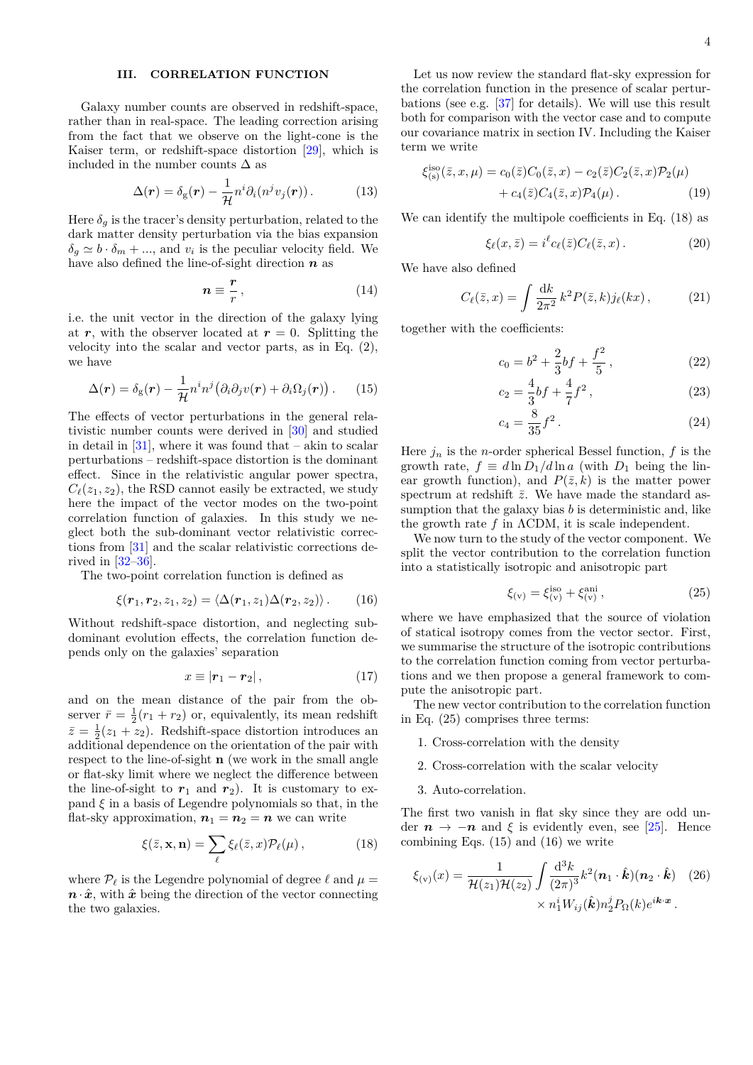<span id="page-3-0"></span>Galaxy number counts are observed in redshift-space, rather than in real-space. The leading correction arising from the fact that we observe on the light-cone is the Kaiser term, or redshift-space distortion [\[29\]](#page-14-11), which is included in the number counts  $\Delta$  as

<span id="page-3-5"></span>
$$
\Delta(\mathbf{r}) = \delta_{\rm g}(\mathbf{r}) - \frac{1}{\mathcal{H}} n^i \partial_i (n^j v_j(\mathbf{r})). \tag{13}
$$

Here  $\delta_q$  is the tracer's density perturbation, related to the dark matter density perturbation via the bias expansion  $\delta_g \simeq b \cdot \delta_m + \dots$ , and  $v_i$  is the peculiar velocity field. We have also defined the line-of-sight direction *n* as

$$
n \equiv \frac{r}{r},\tag{14}
$$

i.e. the unit vector in the direction of the galaxy lying at  $r$ , with the observer located at  $r = 0$ . Splitting the velocity into the scalar and vector parts, as in Eq. [\(2\)](#page-1-4), we have

<span id="page-3-3"></span>
$$
\Delta(\mathbf{r}) = \delta_{\rm g}(\mathbf{r}) - \frac{1}{\mathcal{H}} n^i n^j \big( \partial_i \partial_j v(\mathbf{r}) + \partial_i \Omega_j(\mathbf{r}) \big).
$$
 (15)

The effects of vector perturbations in the general relativistic number counts were derived in [\[30\]](#page-14-12) and studied in detail in  $[31]$ , where it was found that – akin to scalar perturbations – redshift-space distortion is the dominant effect. Since in the relativistic angular power spectra,  $C_{\ell}(z_1, z_2)$ , the RSD cannot easily be extracted, we study here the impact of the vector modes on the two-point correlation function of galaxies. In this study we neglect both the sub-dominant vector relativistic corrections from [\[31\]](#page-14-13) and the scalar relativistic corrections derived in [\[32](#page-14-14)[–36\]](#page-14-15).

The two-point correlation function is defined as

<span id="page-3-4"></span>
$$
\xi(\boldsymbol{r}_1,\boldsymbol{r}_2,z_1,z_2)=\langle \Delta(\boldsymbol{r}_1,z_1)\Delta(\boldsymbol{r}_2,z_2)\rangle. \qquad (16)
$$

Without redshift-space distortion, and neglecting subdominant evolution effects, the correlation function depends only on the galaxies' separation

$$
x \equiv |\mathbf{r}_1 - \mathbf{r}_2| \,, \tag{17}
$$

and on the mean distance of the pair from the observer  $\bar{r} = \frac{1}{2}(r_1 + r_2)$  or, equivalently, its mean redshift  $\bar{z} = \frac{1}{2}(z_1 + z_2)$ . Redshift-space distortion introduces an additional dependence on the orientation of the pair with respect to the line-of-sight **n** (we work in the small angle or flat-sky limit where we neglect the difference between the line-of-sight to  $r_1$  and  $r_2$ ). It is customary to expand  $\xi$  in a basis of Legendre polynomials so that, in the flat-sky approximation,  $n_1 = n_2 = n$  we can write

<span id="page-3-1"></span>
$$
\xi(\bar{z}, \mathbf{x}, \mathbf{n}) = \sum_{\ell} \xi_{\ell}(\bar{z}, x) \mathcal{P}_{\ell}(\mu), \qquad (18)
$$

where  $\mathcal{P}_{\ell}$  is the Legendre polynomial of degree  $\ell$  and  $\mu =$  $\mathbf{n} \cdot \hat{\mathbf{x}}$ , with  $\hat{\mathbf{x}}$  being the direction of the vector connecting the two galaxies.

Let us now review the standard flat-sky expression for the correlation function in the presence of scalar perturbations (see e.g. [\[37\]](#page-14-16) for details). We will use this result both for comparison with the vector case and to compute our covariance matrix in section [IV.](#page-6-0) Including the Kaiser term we write

$$
\xi_{(s)}^{iso}(\bar{z}, x, \mu) = c_0(\bar{z})C_0(\bar{z}, x) - c_2(\bar{z})C_2(\bar{z}, x)\mathcal{P}_2(\mu) + c_4(\bar{z})C_4(\bar{z}, x)\mathcal{P}_4(\mu).
$$
(19)

We can identify the multipole coefficients in Eq. [\(18\)](#page-3-1) as

$$
\xi_{\ell}(x,\bar{z}) = i^{\ell} c_{\ell}(\bar{z}) C_{\ell}(\bar{z},x). \tag{20}
$$

We have also defined

$$
C_{\ell}(\bar{z},x) = \int \frac{\mathrm{d}k}{2\pi^2} k^2 P(\bar{z},k) j_{\ell}(kx), \qquad (21)
$$

together with the coefficients:

$$
c_0 = b^2 + \frac{2}{3}bf + \frac{f^2}{5},
$$
\n(22)

$$
c_2 = \frac{4}{3}bf + \frac{4}{7}f^2,
$$
\n(23)

$$
c_4 = \frac{8}{35}f^2.
$$
 (24)

Here  $j_n$  is the *n*-order spherical Bessel function,  $f$  is the growth rate,  $f \equiv d \ln D_1 / d \ln a$  (with  $D_1$  being the linear growth function), and  $P(\bar{z}, k)$  is the matter power spectrum at redshift  $\bar{z}$ . We have made the standard assumption that the galaxy bias *b* is deterministic and, like the growth rate *f* in ΛCDM, it is scale independent.

We now turn to the study of the vector component. We split the vector contribution to the correlation function into a statistically isotropic and anisotropic part

<span id="page-3-2"></span>
$$
\xi_{(v)} = \xi_{(v)}^{\text{iso}} + \xi_{(v)}^{\text{ani}},\tag{25}
$$

where we have emphasized that the source of violation of statical isotropy comes from the vector sector. First, we summarise the structure of the isotropic contributions to the correlation function coming from vector perturbations and we then propose a general framework to compute the anisotropic part.

The new vector contribution to the correlation function in Eq. [\(25\)](#page-3-2) comprises three terms:

- 1. Cross-correlation with the density
- 2. Cross-correlation with the scalar velocity
- 3. Auto-correlation.

The first two vanish in flat sky since they are odd under  $n \to -n$  and  $\xi$  is evidently even, see [\[25\]](#page-14-7). Hence combining Eqs. [\(15\)](#page-3-3) and [\(16\)](#page-3-4) we write

$$
\xi_{\rm (v)}(x) = \frac{1}{\mathcal{H}(z_1)\mathcal{H}(z_2)} \int \frac{\mathrm{d}^3 k}{(2\pi)^3} k^2 (\mathbf{n}_1 \cdot \hat{\mathbf{k}}) (\mathbf{n}_2 \cdot \hat{\mathbf{k}}) \quad (26)
$$

$$
\times n_1^i W_{ij}(\hat{\mathbf{k}}) n_2^j P_{\Omega}(k) e^{i\mathbf{k} \cdot \mathbf{x}}.
$$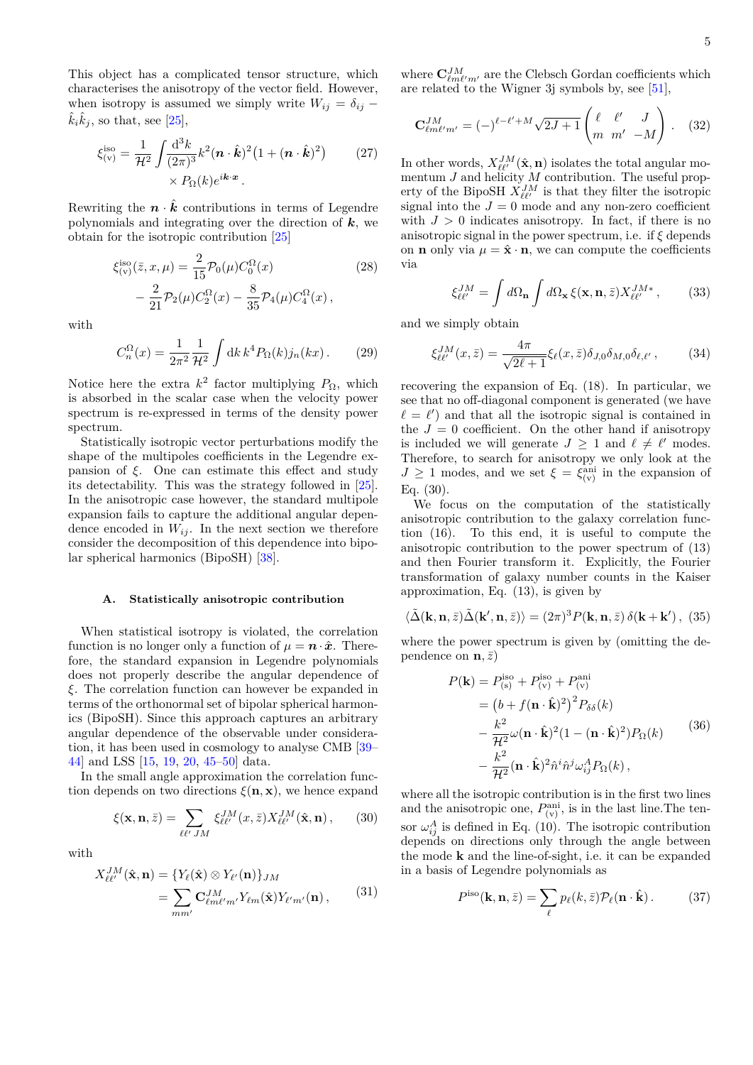This object has a complicated tensor structure, which characterises the anisotropy of the vector field. However, when isotropy is assumed we simply write  $W_{ij} = \delta_{ij}$  −  $\hat{k}_i \hat{k}_j$ , so that, see [\[25\]](#page-14-7),

$$
\xi_{\rm (v)}^{\rm iso} = \frac{1}{\mathcal{H}^2} \int \frac{\mathrm{d}^3 k}{(2\pi)^3} k^2 (\boldsymbol{n} \cdot \hat{\boldsymbol{k}})^2 (1 + (\boldsymbol{n} \cdot \hat{\boldsymbol{k}})^2) \qquad (27)
$$

$$
\times P_{\Omega}(k) e^{i\boldsymbol{k} \cdot \boldsymbol{x}}.
$$

Rewriting the  $\mathbf{n} \cdot \hat{\mathbf{k}}$  contributions in terms of Legendre polynomials and integrating over the direction of *k*, we obtain for the isotropic contribution [\[25\]](#page-14-7)

$$
\xi_{(v)}^{iso}(\bar{z}, x, \mu) = \frac{2}{15} \mathcal{P}_0(\mu) C_0^{\Omega}(x) \qquad (28)
$$

$$
- \frac{2}{21} \mathcal{P}_2(\mu) C_2^{\Omega}(x) - \frac{8}{35} \mathcal{P}_4(\mu) C_4^{\Omega}(x) \,,
$$

with

$$
C_n^{\Omega}(x) = \frac{1}{2\pi^2} \frac{1}{\mathcal{H}^2} \int \mathrm{d}k \, k^4 P_{\Omega}(k) j_n(kx) \,. \tag{29}
$$

Notice here the extra  $k^2$  factor multiplying  $P_{\Omega}$ , which is absorbed in the scalar case when the velocity power spectrum is re-expressed in terms of the density power spectrum.

Statistically isotropic vector perturbations modify the shape of the multipoles coefficients in the Legendre expansion of *ξ*. One can estimate this effect and study its detectability. This was the strategy followed in [\[25\]](#page-14-7). In the anisotropic case however, the standard multipole expansion fails to capture the additional angular dependence encoded in  $W_{ij}$ . In the next section we therefore consider the decomposition of this dependence into bipolar spherical harmonics (BipoSH) [\[38\]](#page-14-17).

### <span id="page-4-0"></span>**A. Statistically anisotropic contribution**

When statistical isotropy is violated, the correlation function is no longer only a function of  $\mu = \mathbf{n} \cdot \hat{\mathbf{x}}$ . Therefore, the standard expansion in Legendre polynomials does not properly describe the angular dependence of *ξ*. The correlation function can however be expanded in terms of the orthonormal set of bipolar spherical harmonics (BipoSH). Since this approach captures an arbitrary angular dependence of the observable under consideration, it has been used in cosmology to analyse CMB [\[39–](#page-14-18) [44\]](#page-14-19) and LSS [\[15,](#page-13-13) [19,](#page-14-20) [20,](#page-14-2) [45–](#page-14-21)[50\]](#page-14-22) data.

In the small angle approximation the correlation function depends on two directions  $\xi(\mathbf{n}, \mathbf{x})$ , we hence expand

<span id="page-4-1"></span>
$$
\xi(\mathbf{x}, \mathbf{n}, \bar{z}) = \sum_{\ell \ell' \, J M} \xi_{\ell \ell'}^{JM}(x, \bar{z}) X_{\ell \ell'}^{JM}(\hat{\mathbf{x}}, \mathbf{n}), \qquad (30)
$$

with

$$
X_{\ell\ell'}^{JM}(\hat{\mathbf{x}}, \mathbf{n}) = \{Y_{\ell}(\hat{\mathbf{x}}) \otimes Y_{\ell'}(\mathbf{n})\}_{JM}
$$
  
= 
$$
\sum_{mm'} \mathbf{C}_{\ell m\ell'm'}^{JM} Y_{\ell m}(\hat{\mathbf{x}}) Y_{\ell'm'}(\mathbf{n}),
$$
 (31)

where  $\mathbf{C}^{JM}_{\ell m \ell' m'}$  are the Clebsch Gordan coefficients which are related to the Wigner 3j symbols by, see [\[51\]](#page-15-0),

$$
\mathbf{C}_{\ell m \ell' m'}^{JM} = (-)^{\ell - \ell' + M} \sqrt{2J + 1} \begin{pmatrix} \ell & \ell' & J \\ m & m' & -M \end{pmatrix} . \quad (32)
$$

In other words,  $X_{\ell\ell'}^{JM}(\hat{\mathbf{x}}, \mathbf{n})$  isolates the total angular momentum *J* and helicity *M* contribution. The useful property of the BipoSH  $X_{\ell\ell'}^{JM}$  is that they filter the isotropic signal into the  $J = 0$  mode and any non-zero coefficient with  $J > 0$  indicates anisotropy. In fact, if there is no anisotropic signal in the power spectrum, i.e. if *ξ* depends on **n** only via  $\mu = \hat{\mathbf{x}} \cdot \mathbf{n}$ , we can compute the coefficients via

$$
\xi_{\ell\ell'}^{JM} = \int d\Omega_{\mathbf{n}} \int d\Omega_{\mathbf{x}} \,\xi(\mathbf{x}, \mathbf{n}, \bar{z}) X_{\ell\ell'}^{JM*} \,, \tag{33}
$$

and we simply obtain

$$
\xi_{\ell\ell'}^{JM}(x,\bar{z}) = \frac{4\pi}{\sqrt{2\ell+1}} \xi_{\ell}(x,\bar{z}) \delta_{J,0} \delta_{M,0} \delta_{\ell,\ell'},\tag{34}
$$

recovering the expansion of Eq. [\(18\)](#page-3-1). In particular, we see that no off-diagonal component is generated (we have  $\ell = \ell'$  and that all the isotropic signal is contained in the  $J = 0$  coefficient. On the other hand if anisotropy is included we will generate  $J \geq 1$  and  $\ell \neq \ell'$  modes. Therefore, to search for anisotropy we only look at the  $J \geq 1$  modes, and we set  $\xi = \xi_{(v)}^{\text{ani}}$  in the expansion of Eq. [\(30\)](#page-4-1).

We focus on the computation of the statistically anisotropic contribution to the galaxy correlation function [\(16\)](#page-3-4). To this end, it is useful to compute the anisotropic contribution to the power spectrum of [\(13\)](#page-3-5) and then Fourier transform it. Explicitly, the Fourier transformation of galaxy number counts in the Kaiser approximation, Eq. [\(13\)](#page-3-5), is given by

$$
\langle \tilde{\Delta}(\mathbf{k}, \mathbf{n}, \bar{z}) \tilde{\Delta}(\mathbf{k}', \mathbf{n}, \bar{z}) \rangle = (2\pi)^3 P(\mathbf{k}, \mathbf{n}, \bar{z}) \, \delta(\mathbf{k} + \mathbf{k}'), \tag{35}
$$

where the power spectrum is given by (omitting the dependence on  $\mathbf{n}, \bar{z}$ 

<span id="page-4-3"></span>
$$
P(\mathbf{k}) = P_{(s)}^{\text{iso}} + P_{(v)}^{\text{iso}} + P_{(v)}^{\text{ani}}
$$
  
=  $(b + f(\mathbf{n} \cdot \hat{\mathbf{k}})^2)^2 P_{\delta\delta}(k)$   
 $- \frac{k^2}{\mathcal{H}^2} \omega(\mathbf{n} \cdot \hat{\mathbf{k}})^2 (1 - (\mathbf{n} \cdot \hat{\mathbf{k}})^2) P_{\Omega}(k)$   
 $- \frac{k^2}{\mathcal{H}^2} (\mathbf{n} \cdot \hat{\mathbf{k}})^2 \hat{n}^i \hat{n}^j \omega_{ij}^A P_{\Omega}(k),$  (36)

where all the isotropic contribution is in the first two lines and the anisotropic one,  $P_{(v)}^{\text{ani}}$ , is in the last line. The tensor  $\omega_{ij}^A$  is defined in Eq. [\(10\)](#page-2-4). The isotropic contribution depends on directions only through the angle between the mode **k** and the line-of-sight, i.e. it can be expanded in a basis of Legendre polynomials as

<span id="page-4-2"></span>*P*

$$
P^{\text{iso}}(\mathbf{k}, \mathbf{n}, \bar{z}) = \sum_{\ell} p_{\ell}(k, \bar{z}) \mathcal{P}_{\ell}(\mathbf{n} \cdot \hat{\mathbf{k}}).
$$
 (37)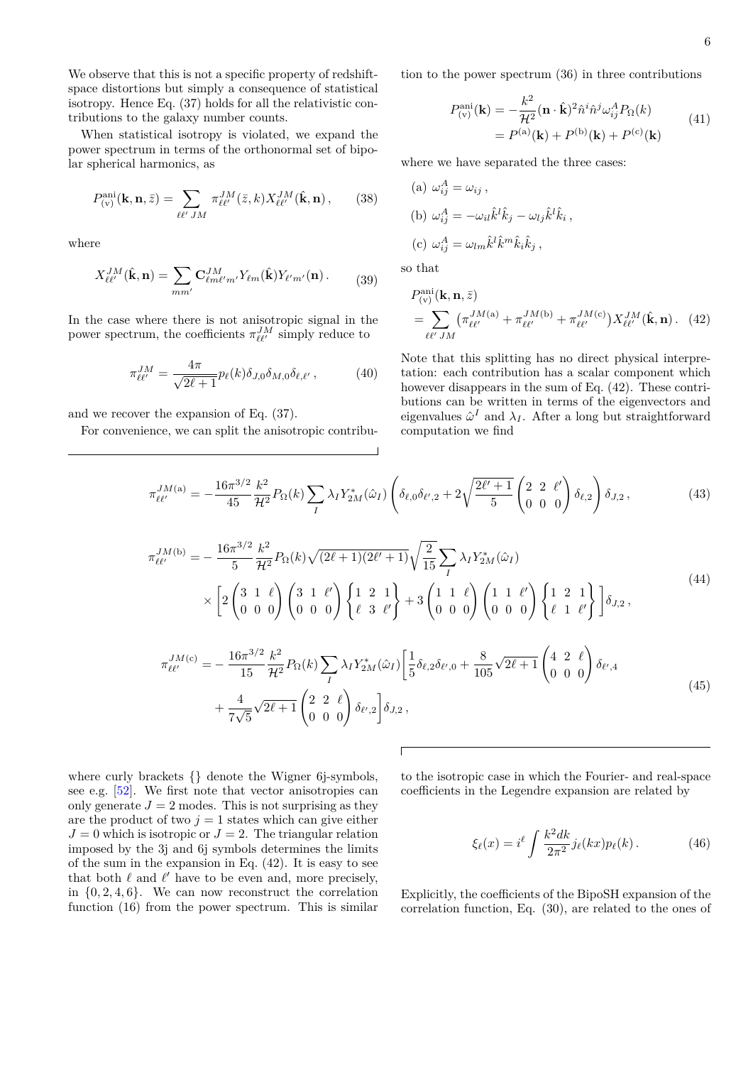We observe that this is not a specific property of redshiftspace distortions but simply a consequence of statistical isotropy. Hence Eq. [\(37\)](#page-4-2) holds for all the relativistic contributions to the galaxy number counts.

When statistical isotropy is violated, we expand the power spectrum in terms of the orthonormal set of bipolar spherical harmonics, as

<span id="page-5-1"></span>
$$
P_{\text{(v)}}^{\text{ani}}(\mathbf{k}, \mathbf{n}, \bar{z}) = \sum_{\ell \ell' \; JM} \pi_{\ell \ell'}^{JM}(\bar{z}, k) X_{\ell \ell'}^{JM}(\hat{\mathbf{k}}, \mathbf{n}), \qquad (38)
$$

where

$$
X_{\ell\ell'}^{JM}(\hat{\mathbf{k}}, \mathbf{n}) = \sum_{mm'} \mathbf{C}_{\ell m\ell'm'}^{JM'} Y_{\ell m}(\hat{\mathbf{k}}) Y_{\ell'm'}(\mathbf{n}). \tag{39}
$$

In the case where there is not anisotropic signal in the power spectrum, the coefficients  $\pi_{\ell\ell'}^{JM}$  simply reduce to

$$
\pi_{\ell\ell'}^{JM} = \frac{4\pi}{\sqrt{2\ell+1}} p_{\ell}(k) \delta_{J,0} \delta_{M,0} \delta_{\ell,\ell'}, \qquad (40)
$$

and we recover the expansion of Eq. [\(37\)](#page-4-2).

For convenience, we can split the anisotropic contribu-

tion to the power spectrum [\(36\)](#page-4-3) in three contributions

$$
P_{\text{(v)}}^{\text{ani}}(\mathbf{k}) = -\frac{k^2}{\mathcal{H}^2} (\mathbf{n} \cdot \hat{\mathbf{k}})^2 \hat{n}^i \hat{n}^j \omega_{ij}^A P_{\Omega}(k)
$$
  
=  $P^{(\text{a})}(\mathbf{k}) + P^{(\text{b})}(\mathbf{k}) + P^{(\text{c})}(\mathbf{k})$  (41)

where we have separated the three cases:

(a) 
$$
\omega_{ij}^A = \omega_{ij}
$$
,  
\n(b)  $\omega_{ij}^A = -\omega_{il} \hat{k}^l \hat{k}_j - \omega_{lj} \hat{k}^l \hat{k}_i$ ,  
\n(c)  $\omega_{ij}^A = \omega_{lm} \hat{k}^l \hat{k}^m \hat{k}_i \hat{k}_j$ ,

so that

<span id="page-5-0"></span>
$$
P_{(v)}^{\text{ani}}(\mathbf{k}, \mathbf{n}, \bar{z}) = \sum_{\ell \ell' \ JM} \left( \pi_{\ell \ell'}^{JM(\mathbf{a})} + \pi_{\ell \ell'}^{JM(\mathbf{b})} + \pi_{\ell \ell'}^{JM(\mathbf{c})} \right) X_{\ell \ell'}^{JM}(\hat{\mathbf{k}}, \mathbf{n}). \tag{42}
$$

Note that this splitting has no direct physical interpretation: each contribution has a scalar component which however disappears in the sum of Eq. [\(42\)](#page-5-0). These contributions can be written in terms of the eigenvectors and eigenvalues  $\hat{\omega}^I$  and  $\lambda_I$ . After a long but straightforward computation we find

<span id="page-5-2"></span>
$$
\pi_{\ell\ell'}^{JM(a)} = -\frac{16\pi^{3/2}}{45} \frac{k^2}{\mathcal{H}^2} P_{\Omega}(k) \sum_{I} \lambda_I Y_{2M}^*(\hat{\omega}_I) \left( \delta_{\ell,0} \delta_{\ell',2} + 2\sqrt{\frac{2\ell'+1}{5}} \begin{pmatrix} 2 & 2 & \ell' \\ 0 & 0 & 0 \end{pmatrix} \delta_{\ell,2} \right) \delta_{J,2},\tag{43}
$$

$$
\pi_{\ell\ell'}^{JM(b)} = -\frac{16\pi^{3/2}}{5} \frac{k^2}{\mathcal{H}^2} P_{\Omega}(k) \sqrt{(2\ell+1)(2\ell'+1)} \sqrt{\frac{2}{15}} \sum_{I} \lambda_I Y_{2M}^*(\hat{\omega}_I) \times \left[2\begin{pmatrix}3 & 1 & \ell\\0 & 0 & 0\end{pmatrix}\begin{pmatrix}3 & 1 & \ell'\\0 & 0 & 0\end{pmatrix} \begin{pmatrix}1 & 2 & 1\\ \ell & 3 & \ell'\end{pmatrix} + 3\begin{pmatrix}1 & 1 & \ell\\0 & 0 & 0\end{pmatrix}\begin{pmatrix}1 & 1 & \ell'\\0 & 0 & 0\end{pmatrix} \begin{pmatrix}1 & 2 & 1\\ \ell & 1 & \ell'\end{pmatrix}\right] \delta_{J,2},
$$
\n(44)

$$
\pi_{\ell\ell'}^{JM(c)} = -\frac{16\pi^{3/2}}{15} \frac{k^2}{\mathcal{H}^2} P_{\Omega}(k) \sum_{I} \lambda_I Y_{2M}^*(\hat{\omega}_I) \left[ \frac{1}{5} \delta_{\ell,2} \delta_{\ell',0} + \frac{8}{105} \sqrt{2\ell+1} \begin{pmatrix} 4 & 2 & \ell \\ 0 & 0 & 0 \end{pmatrix} \delta_{\ell',4} + \frac{4}{7\sqrt{5}} \sqrt{2\ell+1} \begin{pmatrix} 2 & 2 & \ell \\ 0 & 0 & 0 \end{pmatrix} \delta_{\ell',2} \right] \delta_{J,2},
$$
\n(45)

 $\overline{1}$ 

<span id="page-5-3"></span>where curly brackets {} denote the Wigner 6j-symbols, see e.g. [\[52\]](#page-15-1). We first note that vector anisotropies can only generate  $J = 2$  modes. This is not surprising as they are the product of two  $j = 1$  states which can give either  $J = 0$  which is isotropic or  $J = 2$ . The triangular relation imposed by the 3j and 6j symbols determines the limits of the sum in the expansion in Eq. [\(42\)](#page-5-0). It is easy to see that both  $\ell$  and  $\ell'$  have to be even and, more precisely, in  $\{0, 2, 4, 6\}$ . We can now reconstruct the correlation function [\(16\)](#page-3-4) from the power spectrum. This is similar to the isotropic case in which the Fourier- and real-space coefficients in the Legendre expansion are related by

$$
\xi_{\ell}(x) = i^{\ell} \int \frac{k^2 dk}{2\pi^2} j_{\ell}(kx) p_{\ell}(k). \tag{46}
$$

Explicitly, the coefficients of the BipoSH expansion of the correlation function, Eq. [\(30\)](#page-4-1), are related to the ones of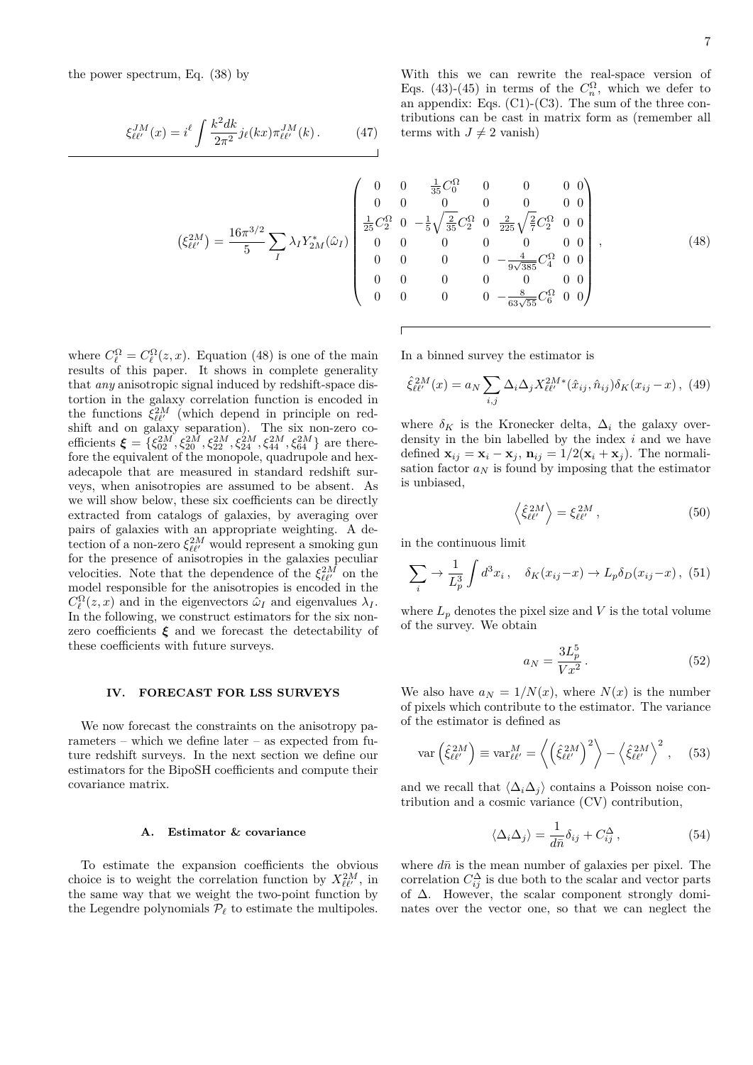the power spectrum, Eq. [\(38\)](#page-5-1) by

$$
\xi_{\ell\ell'}^{JM}(x) = i^{\ell} \int \frac{k^2 dk}{2\pi^2} j_{\ell}(kx) \pi_{\ell\ell'}^{JM}(k) . \tag{47}
$$

<span id="page-6-2"></span>
$$
\left(\xi_{\ell\ell'}^{2M}\right) = \frac{16\pi^{3/2}}{5} \sum_{I} \lambda_I Y_{2M}^*(\hat{\omega}_I)
$$

where  $C_{\ell}^{\Omega} = C_{\ell}^{\Omega}(z, x)$ . Equation [\(48\)](#page-6-2) is one of the main results of this paper. It shows in complete generality that *any* anisotropic signal induced by redshift-space distortion in the galaxy correlation function is encoded in the functions  $\xi_{\ell\ell'}^{2M}$  (which depend in principle on redshift and on galaxy separation). The six non-zero coefficients  $\boldsymbol{\xi} = \{\xi_{02}^{2M}, \xi_{20}^{2M}, \xi_{22}^{2M}, \xi_{24}^{2M}, \xi_{44}^{2M}, \xi_{64}^{2M}\}\$  are therefore the equivalent of the monopole, quadrupole and hexadecapole that are measured in standard redshift surveys, when anisotropies are assumed to be absent. As we will show below, these six coefficients can be directly extracted from catalogs of galaxies, by averaging over pairs of galaxies with an appropriate weighting. A detection of a non-zero  $\xi_{\ell\ell'}^{2M}$  would represent a smoking gun for the presence of anisotropies in the galaxies peculiar velocities. Note that the dependence of the  $\xi_{\ell\ell'}^{2M}$  on the model responsible for the anisotropies is encoded in the  $C_{\ell}^{\Omega}(z, x)$  and in the eigenvectors  $\hat{\omega}_I$  and eigenvalues  $\lambda_I$ . In the following, we construct estimators for the six nonzero coefficients *ξ* and we forecast the detectability of these coefficients with future surveys.

### <span id="page-6-0"></span>**IV. FORECAST FOR LSS SURVEYS**

We now forecast the constraints on the anisotropy parameters – which we define later – as expected from future redshift surveys. In the next section we define our estimators for the BipoSH coefficients and compute their covariance matrix.

### <span id="page-6-1"></span>**A. Estimator & covariance**

To estimate the expansion coefficients the obvious choice is to weight the correlation function by  $X_{\ell\ell'}^{2M}$ , in the same way that we weight the two-point function by the Legendre polynomials  $\mathcal{P}_\ell$  to estimate the multipoles.

With this we can rewrite the real-space version of Eqs. [\(43\)](#page-5-2)-[\(45\)](#page-5-3) in terms of the  $C_n^{\Omega}$ , which we defer to an appendix: Eqs.  $(C1)-(C3)$  $(C1)-(C3)$  $(C1)-(C3)$ . The sum of the three contributions can be cast in matrix form as (remember all terms with  $J \neq 2$  vanish)

$$
\begin{pmatrix}\n0 & 0 & \frac{1}{35}C_0^{\Omega} & 0 & 0 & 0 & 0 \\
0 & 0 & 0 & 0 & 0 & 0 & 0 \\
\frac{1}{25}C_2^{\Omega} & 0 & -\frac{1}{5}\sqrt{\frac{2}{35}}C_2^{\Omega} & 0 & \frac{2}{225}\sqrt{\frac{2}{7}}C_2^{\Omega} & 0 & 0 \\
0 & 0 & 0 & 0 & 0 & 0 & 0 \\
0 & 0 & 0 & 0 & -\frac{4}{9\sqrt{385}}C_4^{\Omega} & 0 & 0 \\
0 & 0 & 0 & 0 & 0 & 0 & 0 \\
0 & 0 & 0 & 0 & -\frac{8}{63\sqrt{55}}C_6^{\Omega} & 0 & 0\n\end{pmatrix},
$$
\n(48)

In a binned survey the estimator is

$$
\hat{\xi}_{\ell\ell'}^{2M}(x) = a_N \sum_{i,j} \Delta_i \Delta_j X_{\ell\ell'}^{2M*}(\hat{x}_{ij}, \hat{n}_{ij}) \delta_K(x_{ij} - x), \tag{49}
$$

where  $\delta_K$  is the Kronecker delta,  $\Delta_i$  the galaxy overdensity in the bin labelled by the index *i* and we have defined  $\mathbf{x}_{ij} = \mathbf{x}_i - \mathbf{x}_j$ ,  $\mathbf{n}_{ij} = 1/2(\mathbf{x}_i + \mathbf{x}_j)$ . The normalisation factor  $a_N$  is found by imposing that the estimator is unbiased,

$$
\left\langle \hat{\xi}_{\ell\ell'}^{2M} \right\rangle = \xi_{\ell\ell'}^{2M} ,\qquad (50)
$$

in the continuous limit

$$
\sum_{i} \rightarrow \frac{1}{L_p^3} \int d^3x_i \,, \quad \delta_K(x_{ij} - x) \rightarrow L_p \delta_D(x_{ij} - x) \,, \tag{51}
$$

where  $L_p$  denotes the pixel size and  $V$  is the total volume of the survey. We obtain

$$
a_N = \frac{3L_p^5}{Vx^2} \,. \tag{52}
$$

We also have  $a_N = 1/N(x)$ , where  $N(x)$  is the number of pixels which contribute to the estimator. The variance of the estimator is defined as

$$
\text{var}\left(\hat{\xi}_{\ell\ell'}^{2M}\right) \equiv \text{var}_{\ell\ell'}^{M} = \left\langle \left(\hat{\xi}_{\ell\ell'}^{2M}\right)^{2} \right\rangle - \left\langle \hat{\xi}_{\ell\ell'}^{2M} \right\rangle^{2}, \quad (53)
$$

and we recall that  $\langle \Delta_i \Delta_j \rangle$  contains a Poisson noise contribution and a cosmic variance (CV) contribution,

$$
\langle \Delta_i \Delta_j \rangle = \frac{1}{d\bar{n}} \delta_{ij} + C_{ij}^{\Delta} , \qquad (54)
$$

where  $d\bar{n}$  is the mean number of galaxies per pixel. The correlation  $C_{ij}^{\Delta}$  is due both to the scalar and vector parts of ∆. However, the scalar component strongly dominates over the vector one, so that we can neglect the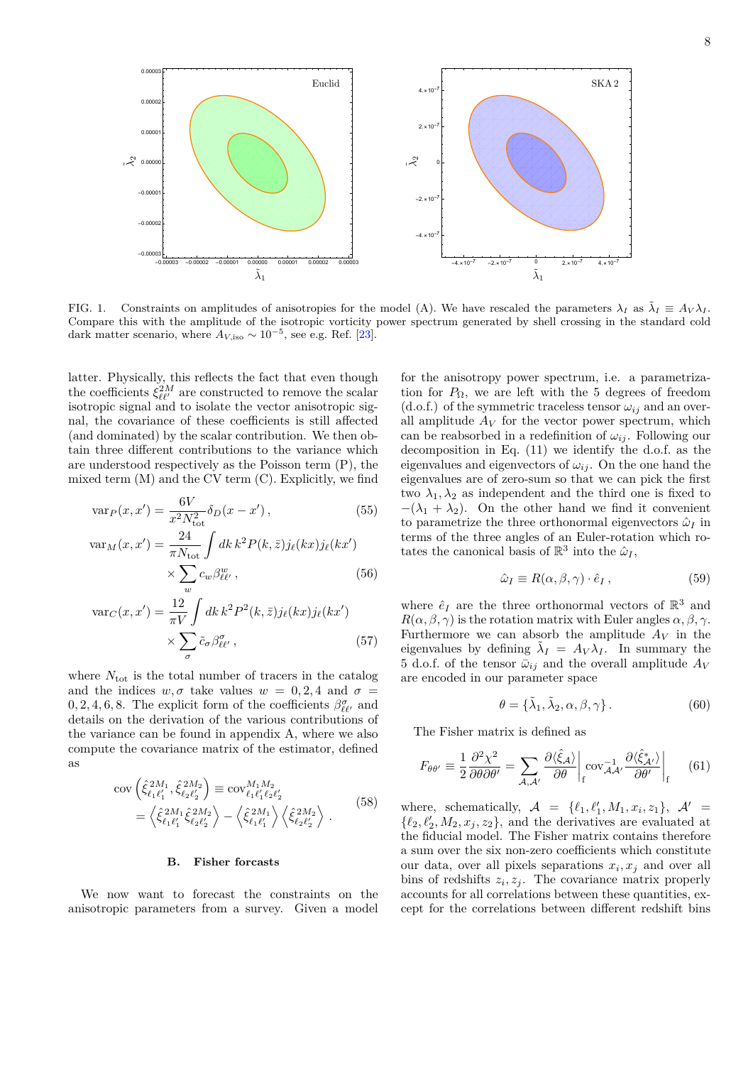

<span id="page-7-2"></span>FIG. 1. Constraints on amplitudes of anisotropies for the model (A). We have rescaled the parameters  $\lambda_I$  as  $\tilde{\lambda}_I = A_V \lambda_I$ . Compare this with the amplitude of the isotropic vorticity power spectrum generated by shell crossing in the standard cold dark matter scenario, where  $A_{V,iso} \sim 10^{-5}$ , see e.g. Ref. [\[23\]](#page-14-5).

latter. Physically, this reflects the fact that even though the coefficients  $\xi_{\ell \ell'}^{2M}$  are constructed to remove the scalar isotropic signal and to isolate the vector anisotropic signal, the covariance of these coefficients is still affected (and dominated) by the scalar contribution. We then obtain three different contributions to the variance which are understood respectively as the Poisson term (P), the mixed term  $(M)$  and the CV term  $(C)$ . Explicitly, we find

$$
var_P(x, x') = \frac{6V}{x^2 N_{\text{tot}}^2} \delta_D(x - x'),
$$
\n(55)

$$
\text{var}_M(x, x') = \frac{24}{\pi N_{\text{tot}}} \int dk \, k^2 P(k, \bar{z}) j_\ell(kx) j_\ell(kx') \times \sum_w c_w \beta_{\ell\ell'}^w,
$$
\n(56)

$$
\text{var}_C(x, x') = \frac{12}{\pi V} \int dk \, k^2 P^2(k, \bar{z}) j_\ell(kx) j_\ell(kx')
$$

$$
\times \sum_{\sigma} \tilde{c}_{\sigma} \beta_{\ell\ell'}^{\sigma} , \qquad (57)
$$

where  $N_{\text{tot}}$  is the total number of tracers in the catalog and the indices  $w, \sigma$  take values  $w = 0, 2, 4$  and  $\sigma =$ 0,2,4,6,8. The explicit form of the coefficients  $\beta_{\ell\ell'}^{\sigma}$  and details on the derivation of the various contributions of the variance can be found in appendix [A,](#page-11-0) where we also compute the covariance matrix of the estimator, defined as

<span id="page-7-3"></span>
$$
\begin{split} \text{cov}\left(\hat{\xi}_{\ell_{1}\ell'_{1}}^{2M_{1}}, \hat{\xi}_{\ell_{2}\ell'_{2}}^{2M_{2}}\right) & \equiv \text{cov}_{\ell_{1}\ell'_{1}\ell_{2}\ell'_{2}}^{M_{1}M_{2}}\\ & = \left\langle \hat{\xi}_{\ell_{1}\ell'_{1}}^{2M_{1}} \hat{\xi}_{\ell_{2}\ell'_{2}}^{2M_{2}} \right\rangle - \left\langle \hat{\xi}_{\ell_{1}\ell'_{1}}^{2M_{1}} \right\rangle \left\langle \hat{\xi}_{\ell_{2}\ell'_{2}}^{2M_{2}} \right\rangle. \end{split} \tag{58}
$$

### <span id="page-7-0"></span>**B. Fisher forcasts**

We now want to forecast the constraints on the anisotropic parameters from a survey. Given a model

for the anisotropy power spectrum, i.e. a parametrization for  $P_{\Omega}$ , we are left with the 5 degrees of freedom (d.o.f.) of the symmetric traceless tensor  $\omega_{ij}$  and an overall amplitude  $A_V$  for the vector power spectrum, which can be reabsorbed in a redefinition of  $\omega_{ij}$ . Following our decomposition in Eq. [\(11\)](#page-2-5) we identify the d.o.f. as the eigenvalues and eigenvectors of  $\omega_{ij}$ . On the one hand the eigenvalues are of zero-sum so that we can pick the first two  $\lambda_1, \lambda_2$  as independent and the third one is fixed to  $-(\lambda_1 + \lambda_2)$ . On the other hand we find it convenient to parametrize the three orthonormal eigenvectors  $\hat{\omega}_I$  in terms of the three angles of an Euler-rotation which rotates the canonical basis of  $\mathbb{R}^3$  into the  $\hat{\omega}_I$ ,

<span id="page-7-4"></span>
$$
\hat{\omega}_I \equiv R(\alpha, \beta, \gamma) \cdot \hat{e}_I, \qquad (59)
$$

where  $\hat{e}_I$  are the three orthonormal vectors of  $\mathbb{R}^3$  and  $R(\alpha, \beta, \gamma)$  is the rotation matrix with Euler angles  $\alpha, \beta, \gamma$ . Furthermore we can absorb the amplitude  $A_V$  in the eigenvalues by defining  $\tilde{\lambda}_I = A_V \lambda_I$ . In summary the 5 d.o.f. of the tensor  $\bar{\omega}_{ij}$  and the overall amplitude  $A_V$ are encoded in our parameter space

<span id="page-7-1"></span>
$$
\theta = {\tilde{\lambda}_1, \tilde{\lambda}_2, \alpha, \beta, \gamma}.
$$
 (60)

The Fisher matrix is defined as

$$
F_{\theta\theta'} \equiv \frac{1}{2} \frac{\partial^2 \chi^2}{\partial \theta \partial \theta'} = \sum_{\mathcal{A}, \mathcal{A}'} \frac{\partial \langle \hat{\xi}_{\mathcal{A}} \rangle}{\partial \theta} \bigg|_{\mathbf{f}} \text{cov}_{\mathcal{A}\mathcal{A}'}^{-1} \frac{\partial \langle \hat{\xi}_{\mathcal{A}'}^* \rangle}{\partial \theta'} \bigg|_{\mathbf{f}} \qquad (61)
$$

where, schematically,  $\mathcal{A} = \{\ell_1, \ell'_1, M_1, x_i, z_1\}, \mathcal{A}' =$  $\{\ell_2, \ell'_2, M_2, x_j, z_2\}$ , and the derivatives are evaluated at the fiducial model. The Fisher matrix contains therefore a sum over the six non-zero coefficients which constitute our data, over all pixels separations  $x_i, x_j$  and over all bins of redshifts  $z_i, z_j$ . The covariance matrix properly accounts for all correlations between these quantities, except for the correlations between different redshift bins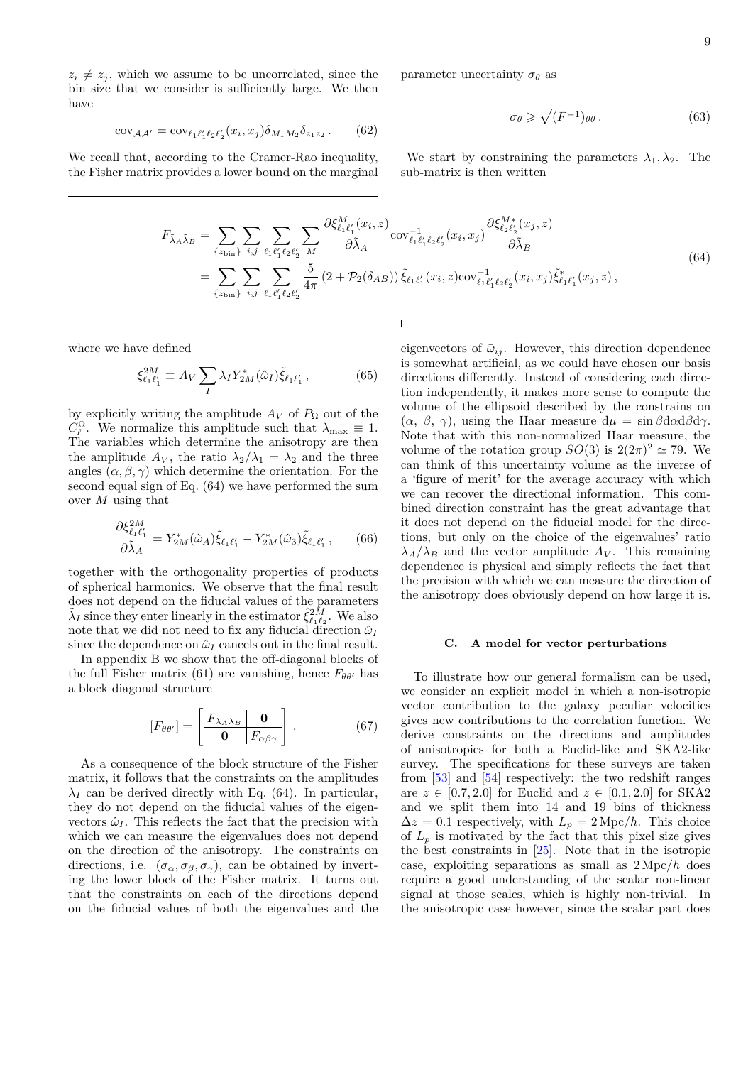$z_i \neq z_j$ , which we assume to be uncorrelated, since the bin size that we consider is sufficiently large. We then have

$$
cov_{\mathcal{A}\mathcal{A}'} = cov_{\ell_1 \ell'_1 \ell_2 \ell'_2}(x_i, x_j) \delta_{M_1 M_2} \delta_{z_1 z_2}. \qquad (62)
$$

We recall that, according to the Cramer-Rao inequality, the Fisher matrix provides a lower bound on the marginal parameter uncertainty  $\sigma_{\theta}$  as

$$
\sigma_{\theta} \geqslant \sqrt{(F^{-1})_{\theta\theta}}\,. \tag{63}
$$

We start by constraining the parameters  $\lambda_1, \lambda_2$ . The sub-matrix is then written

$$
F_{\tilde{\lambda}_{A}\tilde{\lambda}_{B}} = \sum_{\{z_{\text{bin}}\}} \sum_{i,j} \sum_{\ell_{1}\ell'_{1}\ell_{2}\ell'_{2}} \sum_{M} \frac{\partial \xi_{\ell_{1}\ell'_{1}}^{M}(x_{i},z)}{\partial \tilde{\lambda}_{A}} \text{cov}_{\ell_{1}\ell'_{1}\ell_{2}\ell'_{2}}^{1}(x_{i},x_{j}) \frac{\partial \xi_{\ell_{2}\ell'_{2}}^{M}(x_{j},z)}{\partial \tilde{\lambda}_{B}} = \sum_{\{z_{\text{bin}}\}} \sum_{i,j} \sum_{\ell_{1}\ell'_{1}\ell_{2}\ell'_{2}} \frac{5}{4\pi} \left(2 + \mathcal{P}_{2}(\delta_{AB})\right) \tilde{\xi}_{\ell_{1}\ell'_{1}}(x_{i},z) \text{cov}_{\ell_{1}\ell'_{1}\ell_{2}\ell'_{2}}^{-1}(x_{i},x_{j}) \tilde{\xi}_{\ell_{1}\ell'_{1}}^{*}(x_{j},z),
$$
\n(64)

<span id="page-8-1"></span>where we have defined

$$
\xi_{\ell_1 \ell'_1}^{2M} \equiv A_V \sum_I \lambda_I Y_{2M}^* (\hat{\omega}_I) \tilde{\xi}_{\ell_1 \ell'_1} , \qquad (65)
$$

by explicitly writing the amplitude  $A_V$  of  $P_\Omega$  out of the  $C_{\ell}^{\Omega}$ . We normalize this amplitude such that  $\lambda_{\max} \equiv 1$ . The variables which determine the anisotropy are then the amplitude  $A_V$ , the ratio  $\lambda_2/\lambda_1 = \lambda_2$  and the three angles  $(\alpha, \beta, \gamma)$  which determine the orientation. For the second equal sign of Eq. [\(64\)](#page-8-1) we have performed the sum over *M* using that

$$
\frac{\partial \xi_{\ell_1 \ell'_1}^{2M}}{\partial \tilde{\lambda}_A} = Y_{2M}^* (\hat{\omega}_A) \tilde{\xi}_{\ell_1 \ell'_1} - Y_{2M}^* (\hat{\omega}_3) \tilde{\xi}_{\ell_1 \ell'_1} ,\qquad (66)
$$

together with the orthogonality properties of products of spherical harmonics. We observe that the final result does not depend on the fiducial values of the parameters  $\tilde{\lambda}_I$  since they enter linearly in the estimator  $\hat{\xi}^{2M}_{\ell_1 \ell_2}$ . We also note that we did not need to fix any fiducial direction  $\hat{\omega}_I$ since the dependence on  $\hat{\omega}_I$  cancels out in the final result.

In appendix [B](#page-12-0) we show that the off-diagonal blocks of the full Fisher matrix [\(61\)](#page-7-1) are vanishing, hence  $F_{\theta\theta}$  has a block diagonal structure

<span id="page-8-2"></span>
$$
[F_{\theta\theta'}] = \left[\begin{array}{c|c} F_{\lambda_A\lambda_B} & \mathbf{0} \\ \hline \mathbf{0} & F_{\alpha\beta\gamma} \end{array}\right]. \tag{67}
$$

As a consequence of the block structure of the Fisher matrix, it follows that the constraints on the amplitudes  $\lambda_I$  can be derived directly with Eq. [\(64\)](#page-8-1). In particular, they do not depend on the fiducial values of the eigenvectors  $\hat{\omega}_I$ . This reflects the fact that the precision with which we can measure the eigenvalues does not depend on the direction of the anisotropy. The constraints on directions, i.e.  $(\sigma_{\alpha}, \sigma_{\beta}, \sigma_{\gamma})$ , can be obtained by inverting the lower block of the Fisher matrix. It turns out that the constraints on each of the directions depend on the fiducial values of both the eigenvalues and the

eigenvectors of  $\bar{\omega}_{ij}$ . However, this direction dependence is somewhat artificial, as we could have chosen our basis directions differently. Instead of considering each direction independently, it makes more sense to compute the volume of the ellipsoid described by the constrains on (*α*, *β*, *γ*), using the Haar measure d*µ* = sin *β*d*α*d*β*d*γ*. Note that with this non-normalized Haar measure, the volume of the rotation group *SO*(3) is  $2(2\pi)^2 \approx 79$ . We can think of this uncertainty volume as the inverse of a 'figure of merit' for the average accuracy with which we can recover the directional information. This combined direction constraint has the great advantage that it does not depend on the fiducial model for the directions, but only on the choice of the eigenvalues' ratio  $\lambda_A/\lambda_B$  and the vector amplitude  $A_V$ . This remaining dependence is physical and simply reflects the fact that the precision with which we can measure the direction of the anisotropy does obviously depend on how large it is.

### <span id="page-8-0"></span>**C. A model for vector perturbations**

To illustrate how our general formalism can be used, we consider an explicit model in which a non-isotropic vector contribution to the galaxy peculiar velocities gives new contributions to the correlation function. We derive constraints on the directions and amplitudes of anisotropies for both a Euclid-like and SKA2-like survey. The specifications for these surveys are taken from [\[53\]](#page-15-2) and [\[54\]](#page-15-3) respectively: the two redshift ranges are  $z \in [0.7, 2.0]$  for Euclid and  $z \in [0.1, 2.0]$  for SKA2 and we split them into 14 and 19 bins of thickness  $\Delta z = 0.1$  respectively, with  $L_p = 2 \text{ Mpc}/h$ . This choice of  $L_p$  is motivated by the fact that this pixel size gives the best constraints in [\[25\]](#page-14-7). Note that in the isotropic case, exploiting separations as small as 2 Mpc*/h* does require a good understanding of the scalar non-linear signal at those scales, which is highly non-trivial. In the anisotropic case however, since the scalar part does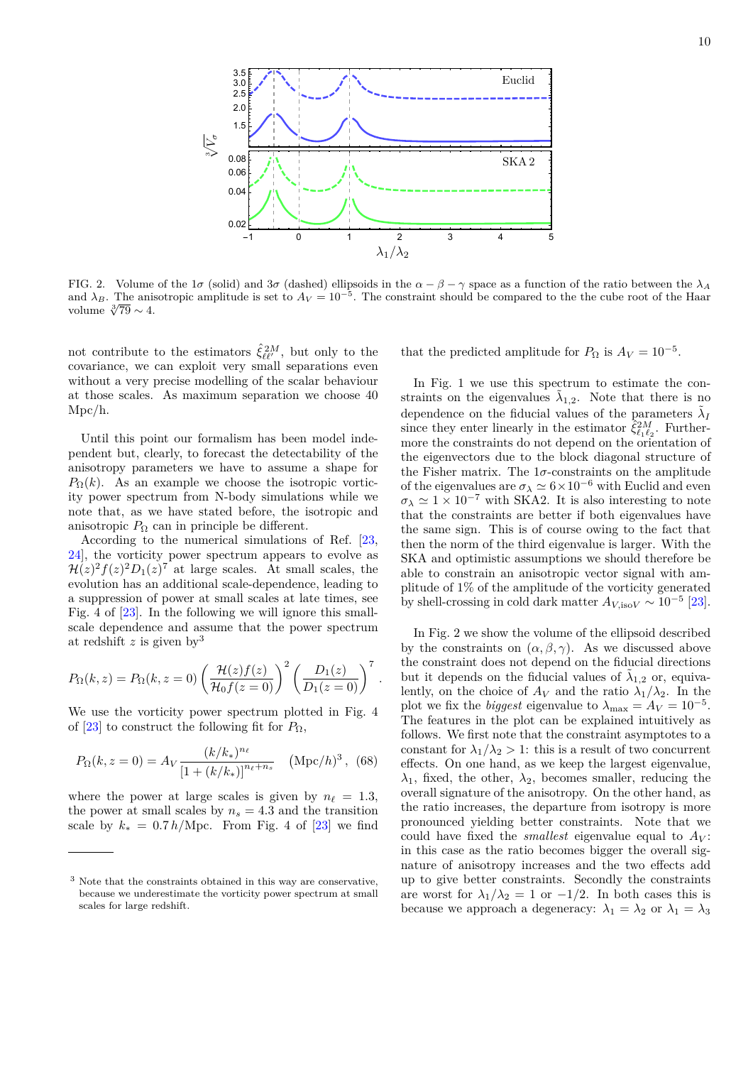

<span id="page-9-1"></span>FIG. 2. Volume of the 1*σ* (solid) and 3*σ* (dashed) ellipsoids in the  $\alpha - \beta - \gamma$  space as a function of the ratio between the  $\lambda_A$ and  $\lambda_B$ . The anisotropic amplitude is set to  $A_V = 10^{-5}$ . The constraint should be compared to the the cube root of the Haar and  $\lambda_B$ . The anis<br>volume  $\sqrt[3]{79} \sim 4$ .

not contribute to the estimators  $\hat{\xi}^{2M}_{\ell\ell'}$ , but only to the covariance, we can exploit very small separations even without a very precise modelling of the scalar behaviour at those scales. As maximum separation we choose 40 Mpc/h.

Until this point our formalism has been model independent but, clearly, to forecast the detectability of the anisotropy parameters we have to assume a shape for  $P_{\Omega}(k)$ . As an example we choose the isotropic vorticity power spectrum from N-body simulations while we note that, as we have stated before, the isotropic and anisotropic  $P_{\Omega}$  can in principle be different.

According to the numerical simulations of Ref. [\[23,](#page-14-5) [24\]](#page-14-6), the vorticity power spectrum appears to evolve as  $\mathcal{H}(z)^2 f(z)^2 D_1(z)^7$  at large scales. At small scales, the evolution has an additional scale-dependence, leading to a suppression of power at small scales at late times, see Fig. 4 of [\[23\]](#page-14-5). In the following we will ignore this smallscale dependence and assume that the power spectrum at redshift  $z$  is given by  $3$ 

$$
P_{\Omega}(k, z) = P_{\Omega}(k, z = 0) \left( \frac{\mathcal{H}(z)f(z)}{\mathcal{H}_0 f(z = 0)} \right)^2 \left( \frac{D_1(z)}{D_1(z = 0)} \right)^7.
$$

We use the vorticity power spectrum plotted in Fig. 4 of  $[23]$  to construct the following fit for  $P_{\Omega}$ ,

$$
P_{\Omega}(k, z = 0) = A_V \frac{(k/k_*)^{n_{\ell}}}{\left[1 + (k/k_*)\right]^{n_{\ell} + n_s}} \quad (\text{Mpc}/h)^3, \tag{68}
$$

where the power at large scales is given by  $n_\ell = 1.3$ , the power at small scales by  $n_s = 4.3$  and the transition scale by  $k_* = 0.7 h/Mpc$ . From Fig. 4 of [\[23\]](#page-14-5) we find that the predicted amplitude for  $P_{\Omega}$  is  $A_V = 10^{-5}$ .

In Fig. [1](#page-7-2) we use this spectrum to estimate the constraints on the eigenvalues  $\tilde{\lambda}_{1,2}$ . Note that there is no dependence on the fiducial values of the parameters  $\tilde{\lambda}_I$ since they enter linearly in the estimator  $\hat{\xi}^{2M}_{\ell_1 \ell_2}$ . Furthermore the constraints do not depend on the orientation of the eigenvectors due to the block diagonal structure of the Fisher matrix. The  $1\sigma$ -constraints on the amplitude of the eigenvalues are  $\sigma_{\lambda} \simeq 6 \times 10^{-6}$  with Euclid and even  $\sigma_{\lambda} \simeq 1 \times 10^{-7}$  with SKA2. It is also interesting to note that the constraints are better if both eigenvalues have the same sign. This is of course owing to the fact that then the norm of the third eigenvalue is larger. With the SKA and optimistic assumptions we should therefore be able to constrain an anisotropic vector signal with amplitude of 1% of the amplitude of the vorticity generated by shell-crossing in cold dark matter  $A_{V,isoV} \sim 10^{-5}$  [\[23\]](#page-14-5).

In Fig. [2](#page-9-1) we show the volume of the ellipsoid described by the constraints on  $(\alpha, \beta, \gamma)$ . As we discussed above the constraint does not depend on the fiducial directions but it depends on the fiducial values of  $\tilde{\lambda}_{1,2}$  or, equivalently, on the choice of  $A_V$  and the ratio  $\lambda_1/\lambda_2$ . In the plot we fix the *biggest* eigenvalue to  $\lambda_{\text{max}} = A_V = 10^{-5}$ . The features in the plot can be explained intuitively as follows. We first note that the constraint asymptotes to a constant for  $\lambda_1/\lambda_2 > 1$ : this is a result of two concurrent effects. On one hand, as we keep the largest eigenvalue,  $\lambda_1$ , fixed, the other,  $\lambda_2$ , becomes smaller, reducing the overall signature of the anisotropy. On the other hand, as the ratio increases, the departure from isotropy is more pronounced yielding better constraints. Note that we could have fixed the *smallest* eigenvalue equal to  $A_V$ : in this case as the ratio becomes bigger the overall signature of anisotropy increases and the two effects add up to give better constraints. Secondly the constraints are worst for  $\lambda_1/\lambda_2 = 1$  or  $-\frac{1}{2}$ . In both cases this is because we approach a degeneracy:  $\lambda_1 = \lambda_2$  or  $\lambda_1 = \lambda_3$ 

<span id="page-9-0"></span> $3$  Note that the constraints obtained in this way are conservative. because we underestimate the vorticity power spectrum at small scales for large redshift.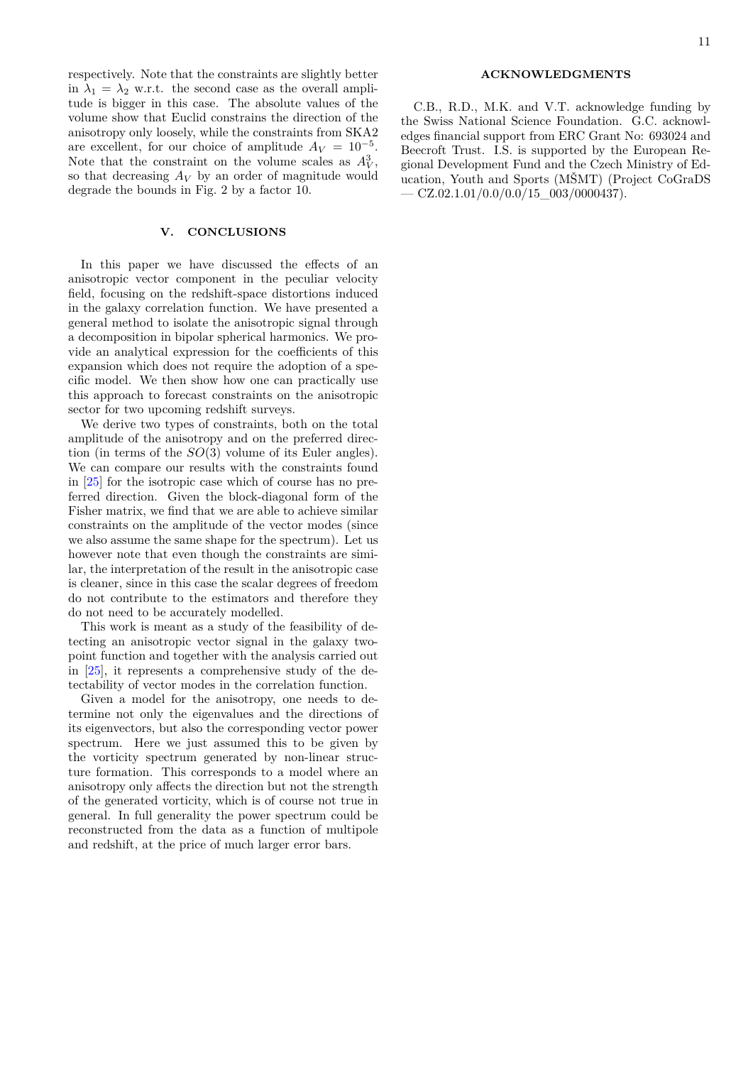respectively. Note that the constraints are slightly better in  $\lambda_1 = \lambda_2$  w.r.t. the second case as the overall amplitude is bigger in this case. The absolute values of the volume show that Euclid constrains the direction of the anisotropy only loosely, while the constraints from SKA2 are excellent, for our choice of amplitude  $A_V = 10^{-5}$ . Note that the constraint on the volume scales as  $A_V^3$ , so that decreasing  $A_V$  by an order of magnitude would degrade the bounds in Fig. [2](#page-9-1) by a factor 10.

# <span id="page-10-0"></span>**V. CONCLUSIONS**

In this paper we have discussed the effects of an anisotropic vector component in the peculiar velocity field, focusing on the redshift-space distortions induced in the galaxy correlation function. We have presented a general method to isolate the anisotropic signal through a decomposition in bipolar spherical harmonics. We provide an analytical expression for the coefficients of this expansion which does not require the adoption of a specific model. We then show how one can practically use this approach to forecast constraints on the anisotropic sector for two upcoming redshift surveys.

We derive two types of constraints, both on the total amplitude of the anisotropy and on the preferred direction (in terms of the *SO*(3) volume of its Euler angles). We can compare our results with the constraints found in [\[25\]](#page-14-7) for the isotropic case which of course has no preferred direction. Given the block-diagonal form of the Fisher matrix, we find that we are able to achieve similar constraints on the amplitude of the vector modes (since we also assume the same shape for the spectrum). Let us however note that even though the constraints are similar, the interpretation of the result in the anisotropic case is cleaner, since in this case the scalar degrees of freedom do not contribute to the estimators and therefore they do not need to be accurately modelled.

This work is meant as a study of the feasibility of detecting an anisotropic vector signal in the galaxy twopoint function and together with the analysis carried out in [\[25\]](#page-14-7), it represents a comprehensive study of the detectability of vector modes in the correlation function.

Given a model for the anisotropy, one needs to determine not only the eigenvalues and the directions of its eigenvectors, but also the corresponding vector power spectrum. Here we just assumed this to be given by the vorticity spectrum generated by non-linear structure formation. This corresponds to a model where an anisotropy only affects the direction but not the strength of the generated vorticity, which is of course not true in general. In full generality the power spectrum could be reconstructed from the data as a function of multipole and redshift, at the price of much larger error bars.

<span id="page-10-1"></span>C.B., R.D., M.K. and V.T. acknowledge funding by the Swiss National Science Foundation. G.C. acknowledges financial support from ERC Grant No: 693024 and Beecroft Trust. I.S. is supported by the European Regional Development Fund and the Czech Ministry of Education, Youth and Sports (MŠMT) (Project CoGraDS  $CZ.02.1.01/0.0/0.0/15\_003/0000437$ .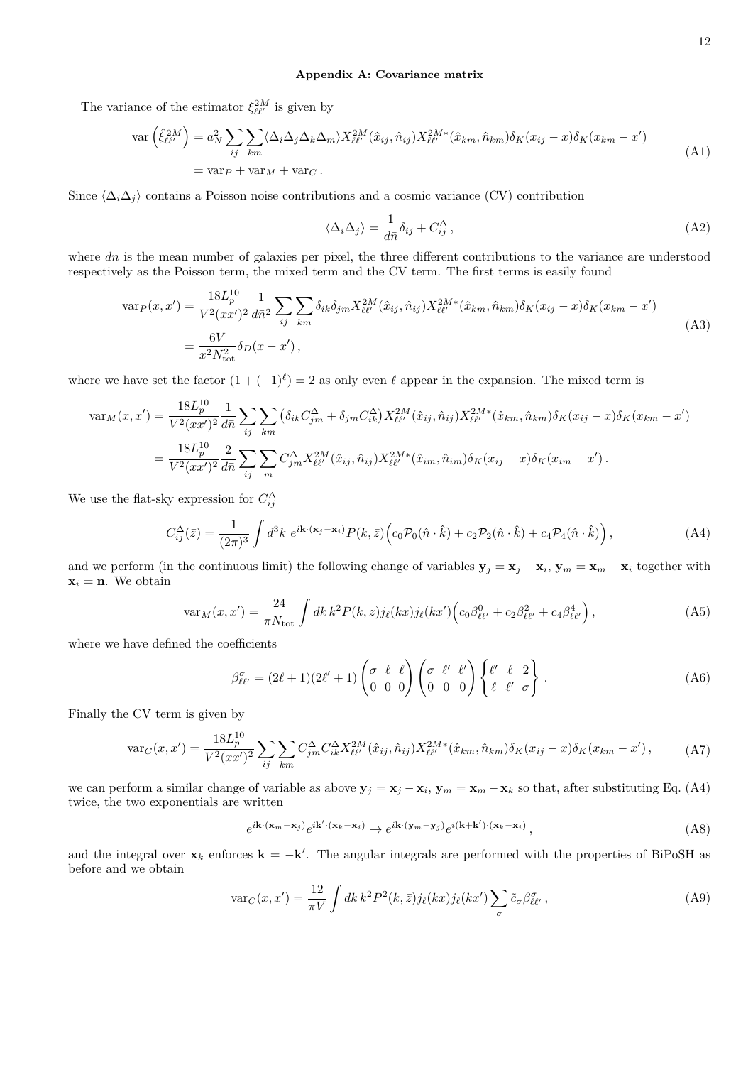# <span id="page-11-0"></span>**Appendix A: Covariance matrix**

The variance of the estimator  $\xi_{\ell\ell'}^{2M}$  is given by

$$
\operatorname{var}\left(\hat{\xi}_{\ell\ell'}^{2M}\right) = a_N^2 \sum_{ij} \sum_{km} \langle \Delta_i \Delta_j \Delta_k \Delta_m \rangle X_{\ell\ell'}^{2M}(\hat{x}_{ij}, \hat{n}_{ij}) X_{\ell\ell'}^{2M*}(\hat{x}_{km}, \hat{n}_{km}) \delta_K(x_{ij} - x) \delta_K(x_{km} - x')
$$
\n
$$
= \operatorname{var}_P + \operatorname{var}_M + \operatorname{var}_C. \tag{A1}
$$

Since  $\langle \Delta_i \Delta_j \rangle$  contains a Poisson noise contributions and a cosmic variance (CV) contribution

$$
\langle \Delta_i \Delta_j \rangle = \frac{1}{d\bar{n}} \delta_{ij} + C_{ij}^{\Delta} , \qquad (A2)
$$

where  $d\bar{n}$  is the mean number of galaxies per pixel, the three different contributions to the variance are understood respectively as the Poisson term, the mixed term and the CV term. The first terms is easily found

$$
\begin{split} \text{var}_P(x, x') &= \frac{18L_p^{10}}{V^2(x x')^2} \frac{1}{d\bar{n}^2} \sum_{ij} \sum_{km} \delta_{ik} \delta_{jm} X_{\ell\ell'}^{2M}(\hat{x}_{ij}, \hat{n}_{ij}) X_{\ell\ell'}^{2M*}(\hat{x}_{km}, \hat{n}_{km}) \delta_K(x_{ij} - x) \delta_K(x_{km} - x') \\ &= \frac{6V}{x^2 N_{\text{tot}}^2} \delta_D(x - x') \,, \end{split} \tag{A3}
$$

where we have set the factor  $(1 + (-1)^{\ell}) = 2$  as only even  $\ell$  appear in the expansion. The mixed term is

$$
\begin{split} \text{var}_{M}(x,x') &= \frac{18L_p^{10}}{V^2(x x')^2} \frac{1}{d\bar{n}} \sum_{ij} \sum_{km} \left( \delta_{ik} C_{jm}^{\Delta} + \delta_{jm} C_{ik}^{\Delta} \right) X_{\ell\ell'}^{2M}(\hat{x}_{ij}, \hat{n}_{ij}) X_{\ell\ell'}^{2M*}(\hat{x}_{km}, \hat{n}_{km}) \delta_{K}(x_{ij} - x) \delta_{K}(x_{km} - x') \\ &= \frac{18L_p^{10}}{V^2(x x')^2} \frac{2}{d\bar{n}} \sum_{ij} \sum_{m} C_{jm}^{\Delta} X_{\ell\ell'}^{2M}(\hat{x}_{ij}, \hat{n}_{ij}) X_{\ell\ell'}^{2M*}(\hat{x}_{im}, \hat{n}_{im}) \delta_{K}(x_{ij} - x) \delta_{K}(x_{im} - x') \,. \end{split}
$$

We use the flat-sky expression for  $C_{ij}^{\Delta}$ 

<span id="page-11-1"></span>
$$
C_{ij}^{\Delta}(\bar{z}) = \frac{1}{(2\pi)^3} \int d^3k \ e^{i\mathbf{k} \cdot (\mathbf{x}_j - \mathbf{x}_i)} P(k, \bar{z}) \Big( c_0 \mathcal{P}_0(\hat{n} \cdot \hat{k}) + c_2 \mathcal{P}_2(\hat{n} \cdot \hat{k}) + c_4 \mathcal{P}_4(\hat{n} \cdot \hat{k}) \Big), \tag{A4}
$$

and we perform (in the continuous limit) the following change of variables  $y_j = x_j - x_i$ ,  $y_m = x_m - x_i$  together with  $\mathbf{x}_i = \mathbf{n}$ . We obtain

<span id="page-11-2"></span>
$$
\text{var}_M(x, x') = \frac{24}{\pi N_{\text{tot}}} \int dk \, k^2 P(k, \bar{z}) j_\ell(kx) j_\ell(kx') \Big( c_0 \beta_{\ell\ell'}^0 + c_2 \beta_{\ell\ell'}^2 + c_4 \beta_{\ell\ell'}^4 \Big),\tag{A5}
$$

where we have defined the coefficients

$$
\beta_{\ell\ell'}^{\sigma} = (2\ell+1)(2\ell'+1)\begin{pmatrix} \sigma & \ell & \ell \\ 0 & 0 & 0 \end{pmatrix} \begin{pmatrix} \sigma & \ell' & \ell' \\ 0 & 0 & 0 \end{pmatrix} \begin{pmatrix} \ell' & \ell & 2 \\ \ell & \ell' & \sigma \end{pmatrix} . \tag{A6}
$$

Finally the CV term is given by

$$
\text{var}_C(x, x') = \frac{18L_p^{10}}{V^2 (xx')^2} \sum_{ij} \sum_{km} C_{jm}^{\Delta} C_{ik}^{\Delta} X_{\ell\ell'}^{2M}(\hat{x}_{ij}, \hat{n}_{ij}) X_{\ell\ell'}^{2M*}(\hat{x}_{km}, \hat{n}_{km}) \delta_K(x_{ij} - x) \delta_K(x_{km} - x'), \tag{A7}
$$

we can perform a similar change of variable as above  $y_j = x_j - x_i$ ,  $y_m = x_m - x_k$  so that, after substituting Eq. [\(A4\)](#page-11-1) twice, the two exponentials are written

$$
e^{i\mathbf{k}\cdot(\mathbf{x}_m-\mathbf{x}_j)}e^{i\mathbf{k}'\cdot(\mathbf{x}_k-\mathbf{x}_i)} \to e^{i\mathbf{k}\cdot(\mathbf{y}_m-\mathbf{y}_j)}e^{i(\mathbf{k}+\mathbf{k}')\cdot(\mathbf{x}_k-\mathbf{x}_i)},\tag{A8}
$$

and the integral over  $\mathbf{x}_k$  enforces  $\mathbf{k} = -\mathbf{k}'$ . The angular integrals are performed with the properties of BiPoSH as before and we obtain

<span id="page-11-3"></span>
$$
\text{var}_C(x, x') = \frac{12}{\pi V} \int dk \, k^2 P^2(k, \bar{z}) j_\ell(kx) j_\ell(kx') \sum_{\sigma} \tilde{c}_{\sigma} \beta^{\sigma}_{\ell \ell'}, \tag{A9}
$$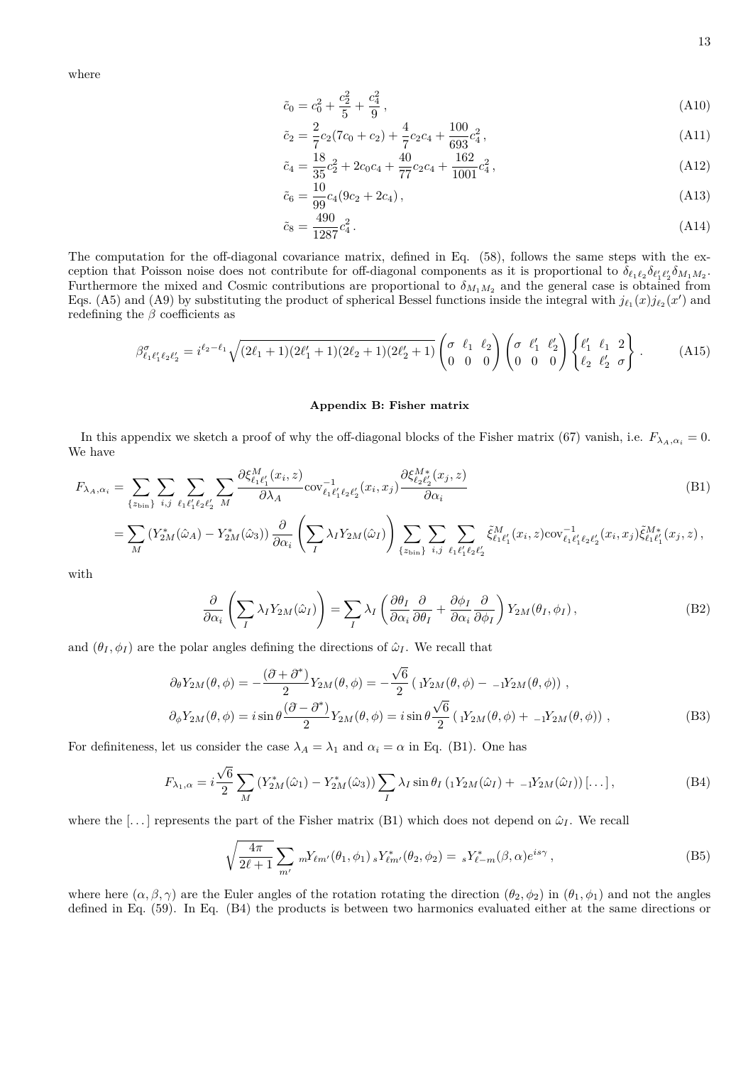where

$$
\tilde{c}_0 = c_0^2 + \frac{c_2^2}{5} + \frac{c_4^2}{9},\tag{A10}
$$

$$
\tilde{c}_2 = \frac{2}{7}c_2(7c_0 + c_2) + \frac{4}{7}c_2c_4 + \frac{100}{693}c_4^2,
$$
\n(A11)

$$
\tilde{c}_4 = \frac{18}{35}c_2^2 + 2c_0c_4 + \frac{40}{77}c_2c_4 + \frac{162}{1001}c_4^2,
$$
\n(A12)

$$
\tilde{c}_6 = \frac{10}{99}c_4(9c_2 + 2c_4),\tag{A13}
$$

$$
\tilde{c}_8 = \frac{490}{1287} c_4^2 \,. \tag{A14}
$$

The computation for the off-diagonal covariance matrix, defined in Eq. [\(58\)](#page-7-3), follows the same steps with the exception that Poisson noise does not contribute for off-diagonal components as it is proportional to  $\delta_{\ell_1 \ell_2} \delta_{\ell'_1 \ell'_2} \delta_{M_1 M_2}$ . Furthermore the mixed and Cosmic contributions are proportional to  $\delta_{M_1M_2}$  and the general case is obtained from Eqs. [\(A5\)](#page-11-2) and [\(A9\)](#page-11-3) by substituting the product of spherical Bessel functions inside the integral with  $j_{\ell_1}(x)j_{\ell_2}(x')$  and redefining the *β* coefficients as

$$
\beta_{\ell_1\ell'_1\ell_2\ell'_2}^{\sigma} = i^{\ell_2-\ell_1} \sqrt{(2\ell_1+1)(2\ell'_1+1)(2\ell_2+1)(2\ell'_2+1)} \begin{pmatrix} \sigma & \ell_1 & \ell_2 \\ 0 & 0 & 0 \end{pmatrix} \begin{pmatrix} \sigma & \ell'_1 & \ell'_2 \\ 0 & 0 & 0 \end{pmatrix} \begin{pmatrix} \ell'_1 & \ell_1 & 2 \\ \ell_2 & \ell'_2 & \sigma \end{pmatrix} . \tag{A15}
$$

### <span id="page-12-1"></span><span id="page-12-0"></span>**Appendix B: Fisher matrix**

In this appendix we sketch a proof of why the off-diagonal blocks of the Fisher matrix [\(67\)](#page-8-2) vanish, i.e.  $F_{\lambda_A, \alpha_i} = 0$ . We have

$$
F_{\lambda_A,\alpha_i} = \sum_{\{z_{\text{bin}}\}} \sum_{i,j} \sum_{\ell_1 \ell'_1 \ell_2 \ell'_2} \sum_M \frac{\partial \xi_{\ell_1 \ell'_1}^M(x_i, z)}{\partial \lambda_A} \text{cov}_{\ell_1 \ell'_1 \ell_2 \ell'_2}^{-1}(x_i, x_j) \frac{\partial \xi_{\ell_2 \ell'_2}^{M*}(x_j, z)}{\partial \alpha_i}
$$
\n
$$
= \sum_M \left(Y_{2M}^*(\hat{\omega}_A) - Y_{2M}^*(\hat{\omega}_3)\right) \frac{\partial}{\partial \alpha_i} \left(\sum_I \lambda_I Y_{2M}(\hat{\omega}_I)\right) \sum_{\{z_{\text{bin}}\}} \sum_{i,j} \sum_{\ell_1 \ell'_1 \ell_2 \ell'_2} \tilde{\xi}_{\ell_1 \ell'_1}^M(x_i, z) \text{cov}_{\ell_1 \ell'_1 \ell_2 \ell'_2}^{-1}(x_i, x_j) \tilde{\xi}_{\ell_1 \ell'_1}^{M*}(x_j, z),
$$
\n(B1)

with

$$
\frac{\partial}{\partial \alpha_i} \left( \sum_I \lambda_I Y_{2M}(\hat{\omega}_I) \right) = \sum_I \lambda_I \left( \frac{\partial \theta_I}{\partial \alpha_i} \frac{\partial}{\partial \theta_I} + \frac{\partial \phi_I}{\partial \alpha_i} \frac{\partial}{\partial \phi_I} \right) Y_{2M}(\theta_I, \phi_I), \tag{B2}
$$

and  $(\theta_I, \phi_I)$  are the polar angles defining the directions of  $\hat{\omega}_I$ . We recall that

$$
\partial_{\theta} Y_{2M}(\theta,\phi) = -\frac{(\partial + \partial^*)}{2} Y_{2M}(\theta,\phi) = -\frac{\sqrt{6}}{2} \left( \frac{1}{2} Y_{2M}(\theta,\phi) - \frac{1}{2} Y_{2M}(\theta,\phi) \right),
$$
  

$$
\partial_{\phi} Y_{2M}(\theta,\phi) = i \sin \theta \frac{(\partial - \partial^*)}{2} Y_{2M}(\theta,\phi) = i \sin \theta \frac{\sqrt{6}}{2} \left( \frac{1}{2} Y_{2M}(\theta,\phi) + \frac{1}{2} Y_{2M}(\theta,\phi) \right),
$$
 (B3)

For definiteness, let us consider the case  $\lambda_A = \lambda_1$  and  $\alpha_i = \alpha$  in Eq. [\(B1\)](#page-12-1). One has

<span id="page-12-2"></span>
$$
F_{\lambda_1,\alpha} = i\frac{\sqrt{6}}{2} \sum_M \left(Y_{2M}^*(\hat{\omega}_1) - Y_{2M}^*(\hat{\omega}_3)\right) \sum_I \lambda_I \sin\theta_I \left(\frac{1}{Y_{2M}}(\hat{\omega}_I) + \frac{1}{Y_{2M}}(\hat{\omega}_I)\right) [\dots],
$$
\n(B4)

where the [...] represents the part of the Fisher matrix [\(B1\)](#page-12-1) which does not depend on  $\hat{\omega}_I$ . We recall

$$
\sqrt{\frac{4\pi}{2\ell+1}} \sum_{m'} m'_{\ell m'}(\theta_1, \phi_1) \, s Y_{\ell m'}^*(\theta_2, \phi_2) = \, s Y_{\ell-m}^*(\beta, \alpha) e^{i s \gamma} \,, \tag{B5}
$$

where here  $(\alpha, \beta, \gamma)$  are the Euler angles of the rotation rotating the direction  $(\theta_2, \phi_2)$  in  $(\theta_1, \phi_1)$  and not the angles defined in Eq. [\(59\)](#page-7-4). In Eq. [\(B4\)](#page-12-2) the products is between two harmonics evaluated either at the same directions or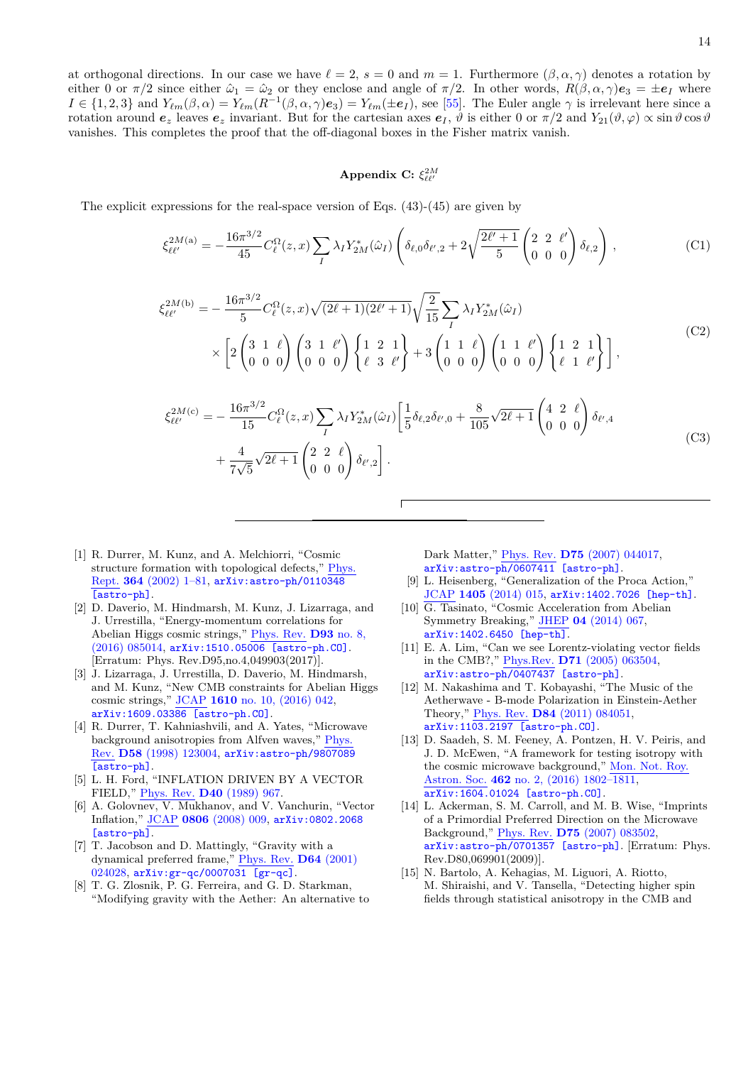at orthogonal directions. In our case we have  $\ell = 2$ ,  $s = 0$  and  $m = 1$ . Furthermore  $(\beta, \alpha, \gamma)$  denotes a rotation by either 0 or  $\pi/2$  since either  $\hat{\omega}_1 = \hat{\omega}_2$  or they enclose and angle of  $\pi/2$ . In other words,  $R(\beta, \alpha, \gamma)e_3 = \pm e_I$  where  $I \in \{1,2,3\}$  and  $Y_{\ell m}(\beta,\alpha) = Y_{\ell m}(R^{-1}(\beta,\alpha,\gamma)e_3) = Y_{\ell m}(\pm e_1)$ , see [\[55\]](#page-15-4). The Euler angle  $\gamma$  is irrelevant here since a rotation around  $e_z$  leaves  $e_z$  invariant. But for the cartesian axes  $e_I$ ,  $\vartheta$  is either 0 or  $\pi/2$  and  $Y_{21}(\vartheta,\varphi) \propto \sin \vartheta \cos \vartheta$ vanishes. This completes the proof that the off-diagonal boxes in the Fisher matrix vanish.

# <span id="page-13-0"></span>**Appendix C:**  $\xi_{\ell\ell'}^{2M}$

The explicit expressions for the real-space version of Eqs.  $(43)-(45)$  $(43)-(45)$  $(43)-(45)$  are given by

<span id="page-13-14"></span>
$$
\xi_{\ell\ell'}^{2M(a)} = -\frac{16\pi^{3/2}}{45} C_{\ell}^{\Omega}(z, x) \sum_{I} \lambda_{I} Y_{2M}^{*}(\hat{\omega}_{I}) \left( \delta_{\ell,0} \delta_{\ell',2} + 2\sqrt{\frac{2\ell'+1}{5}} \begin{pmatrix} 2 & 2 & \ell' \\ 0 & 0 & 0 \end{pmatrix} \delta_{\ell,2} \right), \tag{C1}
$$

$$
\xi_{\ell\ell'}^{2M(b)} = -\frac{16\pi^{3/2}}{5} C_{\ell}^{\Omega}(z, x) \sqrt{(2\ell+1)(2\ell'+1)} \sqrt{\frac{2}{15}} \sum_{I} \lambda_{I} Y_{2M}^{*}(\hat{\omega}_{I})
$$
  
 
$$
\times \left[ 2 \begin{pmatrix} 3 & 1 & \ell \\ 0 & 0 & 0 \end{pmatrix} \begin{pmatrix} 3 & 1 & \ell' \\ 0 & 0 & 0 \end{pmatrix} \begin{pmatrix} 1 & 2 & 1 \\ \ell & 3 & \ell' \end{pmatrix} + 3 \begin{pmatrix} 1 & 1 & \ell \\ 0 & 0 & 0 \end{pmatrix} \begin{pmatrix} 1 & 1 & \ell' \\ 0 & 0 & 0 \end{pmatrix} \begin{pmatrix} 1 & 2 & 1 \\ \ell & 1 & \ell' \end{pmatrix} \right],
$$
 (C2)

<span id="page-13-15"></span><span id="page-13-1"></span>
$$
\xi_{\ell\ell'}^{2M(c)} = -\frac{16\pi^{3/2}}{15} C_{\ell}^{\Omega}(z, x) \sum_{I} \lambda_{I} Y_{2M}^{*}(\hat{\omega}_{I}) \left[ \frac{1}{5} \delta_{\ell,2} \delta_{\ell',0} + \frac{8}{105} \sqrt{2\ell+1} \begin{pmatrix} 4 & 2 & \ell \\ 0 & 0 & 0 \end{pmatrix} \delta_{\ell',4} + \frac{4}{7\sqrt{5}} \sqrt{2\ell+1} \begin{pmatrix} 2 & 2 & \ell \\ 0 & 0 & 0 \end{pmatrix} \delta_{\ell',2} \right].
$$
\n(C3)

- <span id="page-13-2"></span>[1] R. Durrer, M. Kunz, and A. Melchiorri, "Cosmic structure formation with topological defects," [Phys.](http://dx.doi.org/10.1016/S0370-1573(02)00014-5) Rept. **364** [\(2002\) 1–81,](http://dx.doi.org/10.1016/S0370-1573(02)00014-5) [arXiv:astro-ph/0110348](http://arxiv.org/abs/astro-ph/0110348) [\[astro-ph\]](http://arxiv.org/abs/astro-ph/0110348).
- [2] D. Daverio, M. Hindmarsh, M. Kunz, J. Lizarraga, and J. Urrestilla, "Energy-momentum correlations for Abelian Higgs cosmic strings," Phys. Rev. **D93** [no. 8,](http://dx.doi.org/10.1103/PhysRevD.95.049903, 10.1103/PhysRevD.93.085014) [\(2016\) 085014,](http://dx.doi.org/10.1103/PhysRevD.95.049903, 10.1103/PhysRevD.93.085014) [arXiv:1510.05006 \[astro-ph.CO\]](http://arxiv.org/abs/1510.05006). [Erratum: Phys. Rev.D95,no.4,049903(2017)].
- <span id="page-13-3"></span>[3] J. Lizarraga, J. Urrestilla, D. Daverio, M. Hindmarsh, and M. Kunz, "New CMB constraints for Abelian Higgs cosmic strings," JCAP **1610** [no. 10, \(2016\) 042,](http://dx.doi.org/10.1088/1475-7516/2016/10/042) [arXiv:1609.03386 \[astro-ph.CO\]](http://arxiv.org/abs/1609.03386).
- <span id="page-13-4"></span>[4] R. Durrer, T. Kahniashvili, and A. Yates, "Microwave background anisotropies from Alfven waves," [Phys.](http://dx.doi.org/10.1103/PhysRevD.58.123004) Rev. **D58** [\(1998\) 123004,](http://dx.doi.org/10.1103/PhysRevD.58.123004) [arXiv:astro-ph/9807089](http://arxiv.org/abs/astro-ph/9807089) [\[astro-ph\]](http://arxiv.org/abs/astro-ph/9807089).
- <span id="page-13-5"></span>[5] L. H. Ford, "INFLATION DRIVEN BY A VECTOR FIELD," Phys. Rev. **D40** [\(1989\) 967.](http://dx.doi.org/10.1103/PhysRevD.40.967)
- <span id="page-13-6"></span>[6] A. Golovnev, V. Mukhanov, and V. Vanchurin, "Vector Inflation," JCAP **0806** [\(2008\) 009,](http://dx.doi.org/10.1088/1475-7516/2008/06/009) [arXiv:0802.2068](http://arxiv.org/abs/0802.2068) [\[astro-ph\]](http://arxiv.org/abs/0802.2068).
- <span id="page-13-7"></span>[7] T. Jacobson and D. Mattingly, "Gravity with a dynamical preferred frame," Phys. Rev. **D64** [\(2001\)](http://dx.doi.org/10.1103/PhysRevD.64.024028) [024028,](http://dx.doi.org/10.1103/PhysRevD.64.024028) [arXiv:gr-qc/0007031 \[gr-qc\]](http://arxiv.org/abs/gr-qc/0007031).
- [8] T. G. Zlosnik, P. G. Ferreira, and G. D. Starkman, "Modifying gravity with the Aether: An alternative to

Dark Matter," Phys. Rev. **D75** [\(2007\) 044017,](http://dx.doi.org/10.1103/PhysRevD.75.044017) [arXiv:astro-ph/0607411 \[astro-ph\]](http://arxiv.org/abs/astro-ph/0607411).

- [9] L. Heisenberg, "Generalization of the Proca Action," JCAP **1405** [\(2014\) 015,](http://dx.doi.org/10.1088/1475-7516/2014/05/015) [arXiv:1402.7026 \[hep-th\]](http://arxiv.org/abs/1402.7026).
- <span id="page-13-8"></span>[10] G. Tasinato, "Cosmic Acceleration from Abelian Symmetry Breaking," JHEP **04** [\(2014\) 067,](http://dx.doi.org/10.1007/JHEP04(2014)067) [arXiv:1402.6450 \[hep-th\]](http://arxiv.org/abs/1402.6450).
- <span id="page-13-9"></span>[11] E. A. Lim, "Can we see Lorentz-violating vector fields in the CMB?," Phys.Rev. **D71** [\(2005\) 063504,](http://dx.doi.org/10.1103/PhysRevD.71.063504) [arXiv:astro-ph/0407437 \[astro-ph\]](http://arxiv.org/abs/astro-ph/0407437).
- <span id="page-13-10"></span>[12] M. Nakashima and T. Kobayashi, "The Music of the Aetherwave - B-mode Polarization in Einstein-Aether Theory," Phys. Rev. **D84** [\(2011\) 084051,](http://dx.doi.org/10.1103/PhysRevD.84.084051) [arXiv:1103.2197 \[astro-ph.CO\]](http://arxiv.org/abs/1103.2197).
- <span id="page-13-11"></span>[13] D. Saadeh, S. M. Feeney, A. Pontzen, H. V. Peiris, and J. D. McEwen, "A framework for testing isotropy with the cosmic microwave background," [Mon.](http://dx.doi.org/10.1093/mnras/stw1731) Not. Roy. Astron. Soc. **462** [no. 2, \(2016\) 1802–1811,](http://dx.doi.org/10.1093/mnras/stw1731) [arXiv:1604.01024 \[astro-ph.CO\]](http://arxiv.org/abs/1604.01024).
- <span id="page-13-12"></span>[14] L. Ackerman, S. M. Carroll, and M. B. Wise, "Imprints of a Primordial Preferred Direction on the Microwave Background," Phys. Rev. **D75** [\(2007\) 083502,](http://dx.doi.org/10.1103/PhysRevD.75.083502, 10.1103/PhysRevD.80.069901) [arXiv:astro-ph/0701357 \[astro-ph\]](http://arxiv.org/abs/astro-ph/0701357). [Erratum: Phys. Rev.D80,069901(2009)].
- <span id="page-13-13"></span>[15] N. Bartolo, A. Kehagias, M. Liguori, A. Riotto, M. Shiraishi, and V. Tansella, "Detecting higher spin fields through statistical anisotropy in the CMB and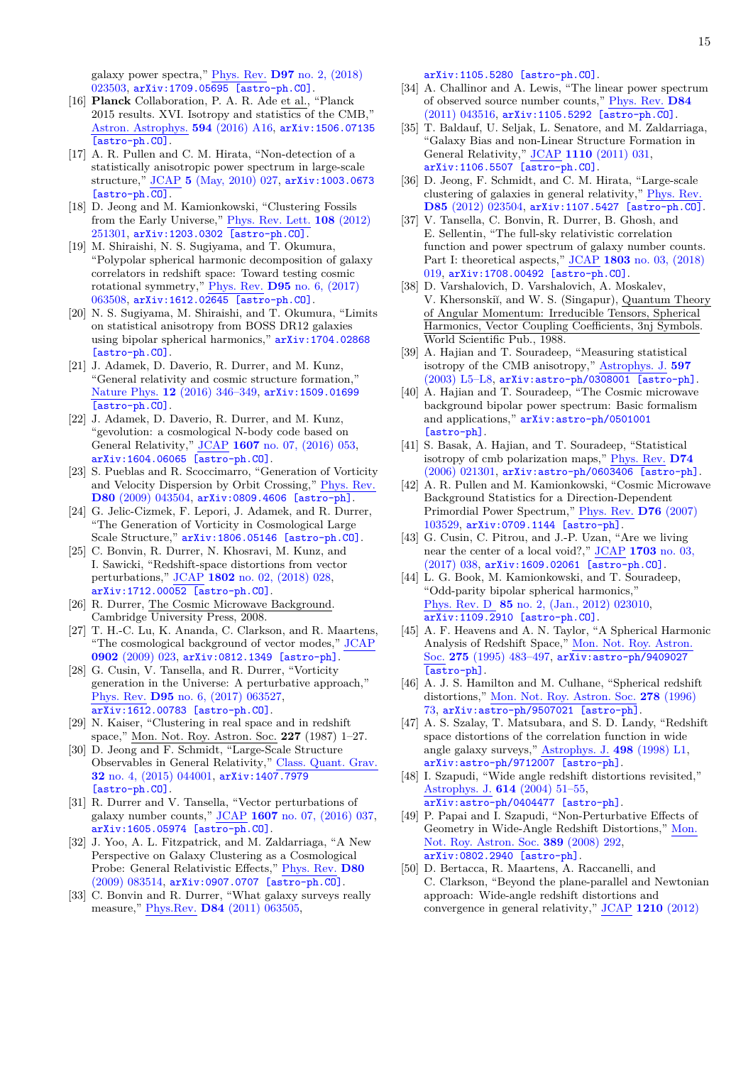galaxy power spectra," Phys. Rev. **D97** [no. 2, \(2018\)](http://dx.doi.org/10.1103/PhysRevD.97.023503) [023503,](http://dx.doi.org/10.1103/PhysRevD.97.023503) [arXiv:1709.05695 \[astro-ph.CO\]](http://arxiv.org/abs/1709.05695).

- <span id="page-14-0"></span>[16] **Planck** Collaboration, P. A. R. Ade et al., "Planck 2015 results. XVI. Isotropy and statistics of the CMB," Astron. Astrophys. **594** [\(2016\) A16,](http://dx.doi.org/10.1051/0004-6361/201526681) [arXiv:1506.07135](http://arxiv.org/abs/1506.07135) [\[astro-ph.CO\]](http://arxiv.org/abs/1506.07135).
- <span id="page-14-1"></span>[17] A. R. Pullen and C. M. Hirata, "Non-detection of a statistically anisotropic power spectrum in large-scale structure," JCAP **5** [\(May, 2010\) 027,](http://dx.doi.org/10.1088/1475-7516/2010/05/027) [arXiv:1003.0673](http://arxiv.org/abs/1003.0673) [\[astro-ph.CO\]](http://arxiv.org/abs/1003.0673).
- [18] D. Jeong and M. Kamionkowski, "Clustering Fossils from the Early Universe," Phys. Rev. Lett. **108** [\(2012\)](http://dx.doi.org/10.1103/PhysRevLett.108.251301) [251301,](http://dx.doi.org/10.1103/PhysRevLett.108.251301) [arXiv:1203.0302 \[astro-ph.CO\]](http://arxiv.org/abs/1203.0302).
- <span id="page-14-20"></span>[19] M. Shiraishi, N. S. Sugiyama, and T. Okumura, "Polypolar spherical harmonic decomposition of galaxy correlators in redshift space: Toward testing cosmic rotational symmetry," Phys. Rev. **D95** [no. 6, \(2017\)](http://dx.doi.org/10.1103/PhysRevD.95.063508) [063508,](http://dx.doi.org/10.1103/PhysRevD.95.063508) [arXiv:1612.02645 \[astro-ph.CO\]](http://arxiv.org/abs/1612.02645).
- <span id="page-14-2"></span>[20] N. S. Sugiyama, M. Shiraishi, and T. Okumura, "Limits on statistical anisotropy from BOSS DR12 galaxies using bipolar spherical harmonics," [arXiv:1704.02868](http://arxiv.org/abs/1704.02868) [\[astro-ph.CO\]](http://arxiv.org/abs/1704.02868).
- <span id="page-14-3"></span>[21] J. Adamek, D. Daverio, R. Durrer, and M. Kunz, "General relativity and cosmic structure formation," Nature Phys. **12** [\(2016\) 346–349,](http://dx.doi.org/10.1038/nphys3673) [arXiv:1509.01699](http://arxiv.org/abs/1509.01699) [\[astro-ph.CO\]](http://arxiv.org/abs/1509.01699).
- <span id="page-14-4"></span>[22] J. Adamek, D. Daverio, R. Durrer, and M. Kunz, "gevolution: a cosmological N-body code based on General Relativity," JCAP **1607** [no. 07, \(2016\) 053,](http://dx.doi.org/10.1088/1475-7516/2016/07/053) [arXiv:1604.06065 \[astro-ph.CO\]](http://arxiv.org/abs/1604.06065).
- <span id="page-14-5"></span>[23] S. Pueblas and R. Scoccimarro, "Generation of Vorticity and Velocity Dispersion by Orbit Crossing," [Phys.](http://dx.doi.org/10.1103/PhysRevD.80.043504) Rev. **D80** [\(2009\) 043504,](http://dx.doi.org/10.1103/PhysRevD.80.043504) [arXiv:0809.4606 \[astro-ph\]](http://arxiv.org/abs/0809.4606).
- <span id="page-14-6"></span>[24] G. Jelic-Cizmek, F. Lepori, J. Adamek, and R. Durrer, "The Generation of Vorticity in Cosmological Large Scale Structure," [arXiv:1806.05146 \[astro-ph.CO\]](http://arxiv.org/abs/1806.05146).
- <span id="page-14-7"></span>[25] C. Bonvin, R. Durrer, N. Khosravi, M. Kunz, and I. Sawicki, "Redshift-space distortions from vector perturbations," JCAP **1802** [no. 02, \(2018\) 028,](http://dx.doi.org/10.1088/1475-7516/2018/02/028) [arXiv:1712.00052 \[astro-ph.CO\]](http://arxiv.org/abs/1712.00052).
- <span id="page-14-8"></span>[26] R. Durrer, The Cosmic Microwave Background. Cambridge University Press, 2008.
- <span id="page-14-9"></span>[27] T. H.-C. Lu, K. Ananda, C. Clarkson, and R. Maartens, "The cosmological background of vector modes," [JCAP](http://dx.doi.org/10.1088/1475-7516/2009/02/023) **0902** [\(2009\) 023,](http://dx.doi.org/10.1088/1475-7516/2009/02/023) [arXiv:0812.1349 \[astro-ph\]](http://arxiv.org/abs/0812.1349).
- <span id="page-14-10"></span>[28] G. Cusin, V. Tansella, and R. Durrer, "Vorticity generation in the Universe: A perturbative approach," Phys. Rev. **D95** [no. 6, \(2017\) 063527,](http://dx.doi.org/10.1103/PhysRevD.95.063527) [arXiv:1612.00783 \[astro-ph.CO\]](http://arxiv.org/abs/1612.00783).
- <span id="page-14-11"></span>[29] N. Kaiser, "Clustering in real space and in redshift space," Mon. Not. Roy. Astron. Soc. **227** (1987) 1–27.
- <span id="page-14-12"></span>[30] D. Jeong and F. Schmidt, "Large-Scale Structure Observables in General Relativity," Class. [Quant.](http://dx.doi.org/10.1088/0264-9381/32/4/044001) Grav. **32** [no. 4, \(2015\) 044001,](http://dx.doi.org/10.1088/0264-9381/32/4/044001) [arXiv:1407.7979](http://arxiv.org/abs/1407.7979) [\[astro-ph.CO\]](http://arxiv.org/abs/1407.7979).
- <span id="page-14-13"></span>[31] R. Durrer and V. Tansella, "Vector perturbations of galaxy number counts," JCAP **1607** [no. 07, \(2016\) 037,](http://dx.doi.org/10.1088/1475-7516/2016/07/037) [arXiv:1605.05974 \[astro-ph.CO\]](http://arxiv.org/abs/1605.05974).
- <span id="page-14-14"></span>[32] J. Yoo, A. L. Fitzpatrick, and M. Zaldarriaga, "A New Perspective on Galaxy Clustering as a Cosmological Probe: General Relativistic Effects," [Phys.](http://dx.doi.org/10.1103/PhysRevD.80.083514) Rev. **D80** [\(2009\) 083514,](http://dx.doi.org/10.1103/PhysRevD.80.083514) [arXiv:0907.0707 \[astro-ph.CO\]](http://arxiv.org/abs/0907.0707).
- [33] C. Bonvin and R. Durrer, "What galaxy surveys really measure," Phys.Rev. **D84** [\(2011\) 063505,](http://dx.doi.org/10.1103/PhysRevD.84.063505)

[arXiv:1105.5280 \[astro-ph.CO\]](http://arxiv.org/abs/1105.5280).

- [34] A. Challinor and A. Lewis, "The linear power spectrum of observed source number counts," [Phys.](http://dx.doi.org/10.1103/PhysRevD.84.043516) Rev. **D84** [\(2011\) 043516,](http://dx.doi.org/10.1103/PhysRevD.84.043516) [arXiv:1105.5292 \[astro-ph.CO\]](http://arxiv.org/abs/1105.5292).
- [35] T. Baldauf, U. Seljak, L. Senatore, and M. Zaldarriaga, "Galaxy Bias and non-Linear Structure Formation in General Relativity," JCAP **1110** [\(2011\) 031,](http://dx.doi.org/10.1088/1475-7516/2011/10/031) [arXiv:1106.5507 \[astro-ph.CO\]](http://arxiv.org/abs/1106.5507).
- <span id="page-14-15"></span>[36] D. Jeong, F. Schmidt, and C. M. Hirata, "Large-scale clustering of galaxies in general relativity," [Phys.](http://dx.doi.org/10.1103/PhysRevD.85.023504) Rev. **D85** [\(2012\) 023504,](http://dx.doi.org/10.1103/PhysRevD.85.023504) [arXiv:1107.5427 \[astro-ph.CO\]](http://arxiv.org/abs/1107.5427).
- <span id="page-14-16"></span>[37] V. Tansella, C. Bonvin, R. Durrer, B. Ghosh, and E. Sellentin, "The full-sky relativistic correlation function and power spectrum of galaxy number counts. Part I: theoretical aspects," JCAP **1803** [no. 03, \(2018\)](http://dx.doi.org/10.1088/1475-7516/2018/03/019) [019,](http://dx.doi.org/10.1088/1475-7516/2018/03/019) [arXiv:1708.00492 \[astro-ph.CO\]](http://arxiv.org/abs/1708.00492).
- <span id="page-14-17"></span>[38] D. Varshalovich, D. Varshalovich, A. Moskalev, V. Khersonskiı̆, and W. S. (Singapur), Quantum Theory of Angular Momentum: Irreducible Tensors, Spherical Harmonics, Vector Coupling Coefficients, 3nj Symbols. World Scientific Pub., 1988.
- <span id="page-14-18"></span>[39] A. Hajian and T. Souradeep, "Measuring statistical isotropy of the CMB anisotropy," [Astrophys.](http://dx.doi.org/10.1086/379757) J. **597** [\(2003\) L5–L8,](http://dx.doi.org/10.1086/379757) [arXiv:astro-ph/0308001 \[astro-ph\]](http://arxiv.org/abs/astro-ph/0308001).
- [40] A. Hajian and T. Souradeep, "The Cosmic microwave background bipolar power spectrum: Basic formalism and applications," [arXiv:astro-ph/0501001](http://arxiv.org/abs/astro-ph/0501001) [\[astro-ph\]](http://arxiv.org/abs/astro-ph/0501001).
- [41] S. Basak, A. Hajian, and T. Souradeep, "Statistical isotropy of cmb polarization maps," [Phys.](http://dx.doi.org/10.1103/PhysRevD.74.021301) Rev. **D74** [\(2006\) 021301,](http://dx.doi.org/10.1103/PhysRevD.74.021301) [arXiv:astro-ph/0603406 \[astro-ph\]](http://arxiv.org/abs/astro-ph/0603406).
- [42] A. R. Pullen and M. Kamionkowski, "Cosmic Microwave Background Statistics for a Direction-Dependent Primordial Power Spectrum," Phys. Rev. **D76** [\(2007\)](http://dx.doi.org/10.1103/PhysRevD.76.103529) [103529,](http://dx.doi.org/10.1103/PhysRevD.76.103529) [arXiv:0709.1144 \[astro-ph\]](http://arxiv.org/abs/0709.1144).
- [43] G. Cusin, C. Pitrou, and J.-P. Uzan, "Are we living near the center of a local void?," JCAP **1703** [no. 03,](http://dx.doi.org/10.1088/1475-7516/2017/03/038) [\(2017\) 038,](http://dx.doi.org/10.1088/1475-7516/2017/03/038) [arXiv:1609.02061 \[astro-ph.CO\]](http://arxiv.org/abs/1609.02061).
- <span id="page-14-19"></span>[44] L. G. Book, M. Kamionkowski, and T. Souradeep. "Odd-parity bipolar spherical harmonics," Phys. Rev. D **85** [no. 2, \(Jan., 2012\) 023010,](http://dx.doi.org/10.1103/PhysRevD.85.023010) [arXiv:1109.2910 \[astro-ph.CO\]](http://arxiv.org/abs/1109.2910).
- <span id="page-14-21"></span>[45] A. F. Heavens and A. N. Taylor, "A Spherical Harmonic Analysis of Redshift Space," Mon. Not. Roy. [Astron.](http://dx.doi.org/10.1093/mnras/275.2.483) Soc. **275** [\(1995\) 483–497,](http://dx.doi.org/10.1093/mnras/275.2.483) [arXiv:astro-ph/9409027](http://arxiv.org/abs/astro-ph/9409027) [\[astro-ph\]](http://arxiv.org/abs/astro-ph/9409027).
- [46] A. J. S. Hamilton and M. Culhane, "Spherical redshift distortions," Mon. Not. Roy. [Astron.](http://dx.doi.org/10.1093/mnras/278.1.73) Soc. **278** (1996) [73,](http://dx.doi.org/10.1093/mnras/278.1.73) [arXiv:astro-ph/9507021 \[astro-ph\]](http://arxiv.org/abs/astro-ph/9507021).
- [47] A. S. Szalay, T. Matsubara, and S. D. Landy, "Redshift space distortions of the correlation function in wide angle galaxy surveys," [Astrophys.](http://dx.doi.org/10.1086/311293) J. **498** (1998) L1, [arXiv:astro-ph/9712007 \[astro-ph\]](http://arxiv.org/abs/astro-ph/9712007).
- [48] I. Szapudi, "Wide angle redshift distortions revisited," Astrophys. J. **614** [\(2004\) 51–55,](http://dx.doi.org/10.1086/423168) [arXiv:astro-ph/0404477 \[astro-ph\]](http://arxiv.org/abs/astro-ph/0404477).
- [49] P. Papai and I. Szapudi, "Non-Perturbative Effects of Geometry in Wide-Angle Redshift Distortions," [Mon.](http://dx.doi.org/10.1111/j.1365-2966.2008.13572.x) Not. Roy. Astron. Soc. **389** [\(2008\) 292,](http://dx.doi.org/10.1111/j.1365-2966.2008.13572.x) [arXiv:0802.2940 \[astro-ph\]](http://arxiv.org/abs/0802.2940).
- <span id="page-14-22"></span>[50] D. Bertacca, R. Maartens, A. Raccanelli, and C. Clarkson, "Beyond the plane-parallel and Newtonian approach: Wide-angle redshift distortions and convergence in general relativity," JCAP **1210** [\(2012\)](http://dx.doi.org/10.1088/1475-7516/2012/10/025)